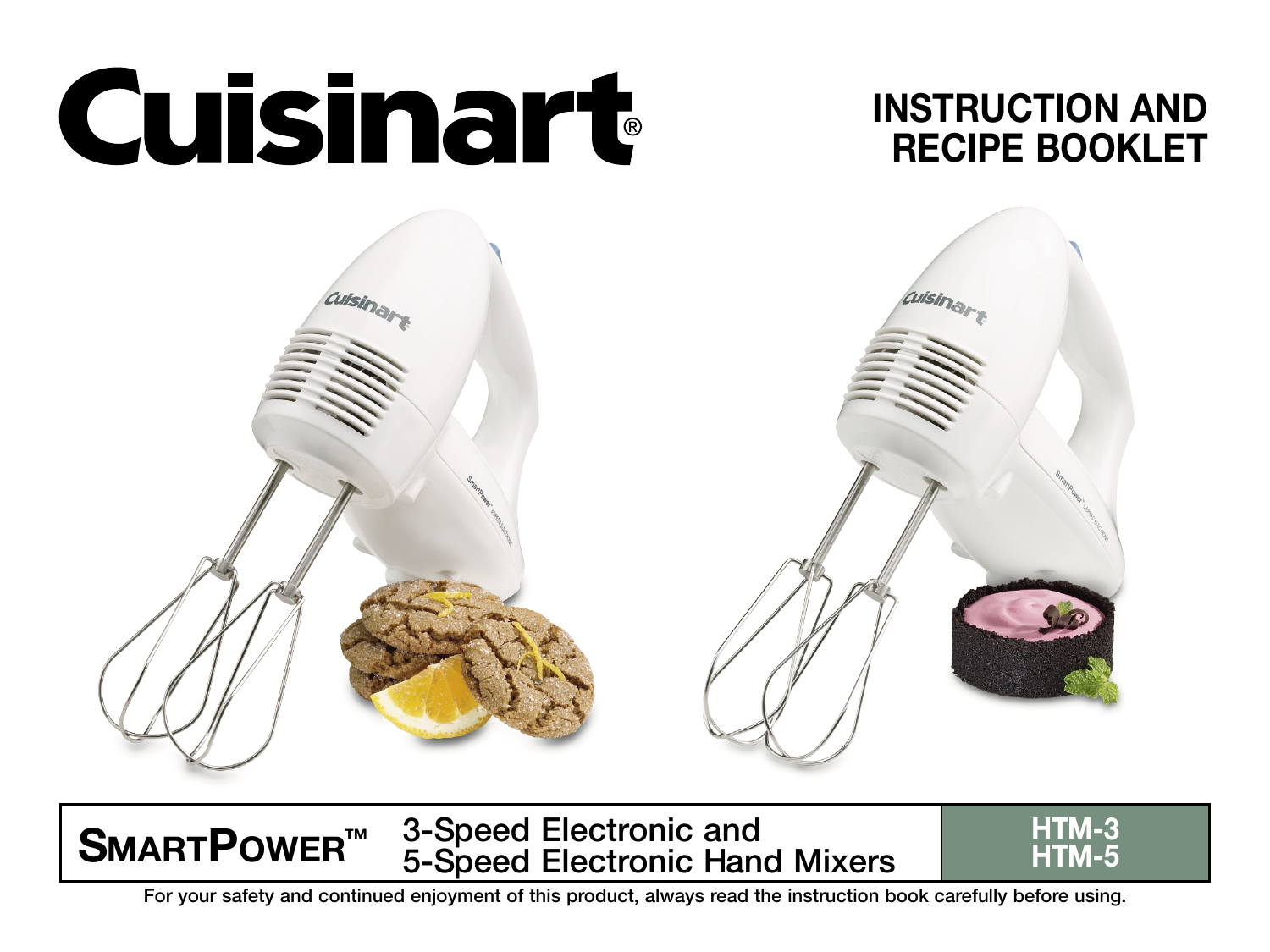





SMARTPOWER<sup>™</sup> 3-Speed Electronic and FITM-3<br>HTM-5 5-Speed Electronic Hand Mixers

For your safety and continued enjoyment of this product, always read the instruction book carefully before using.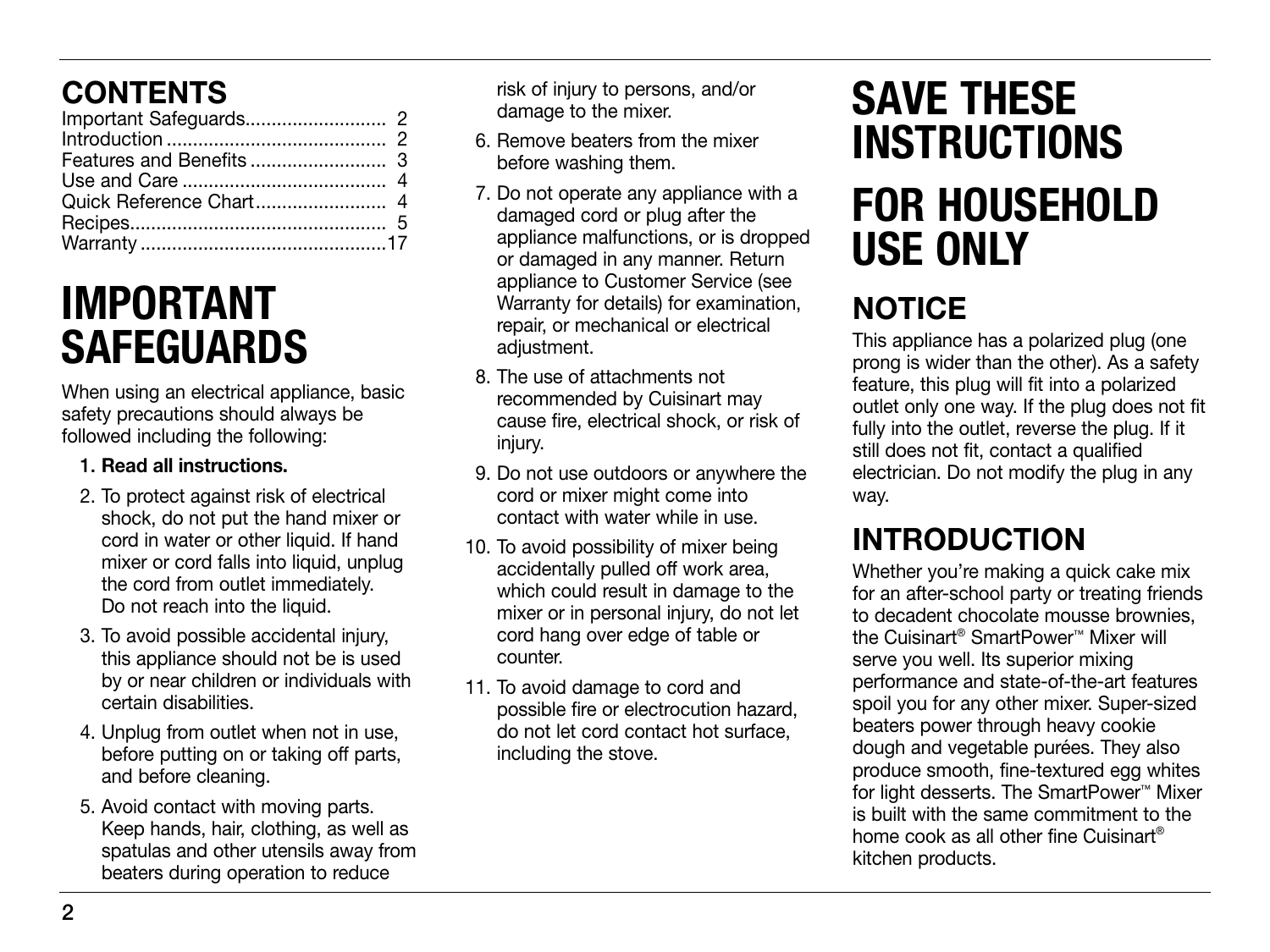# CONTENTS

# IMPORTANT SAFEGUARDS

When using an electrical appliance, basic safety precautions should always be followed including the following:

#### 1. Read all instructions.

- 2. To protect against risk of electrical shock, do not put the hand mixer or cord in water or other liquid. If hand mixer or cord falls into liquid, unplug the cord from outlet immediately. Do not reach into the liquid.
- 3. To avoid possible accidental injury, this appliance should not be is used by or near children or individuals with certain disabilities.
- 4. Unplug from outlet when not in use, before putting on or taking off parts, and before cleaning.
- 5. Avoid contact with moving parts. Keep hands, hair, clothing, as well as spatulas and other utensils away from beaters during operation to reduce

risk of injury to persons, and/or damage to the mixer.

- 6. Remove beaters from the mixer before washing them.
- 7. Do not operate any appliance with a damaged cord or plug after the appliance malfunctions, or is dropped or damaged in any manner. Return appliance to Customer Service (see Warranty for details) for examination, repair, or mechanical or electrical adjustment.
- 8. The use of attachments not recommended by Cuisinart may cause fire, electrical shock, or risk of injury.
- 9. Do not use outdoors or anywhere the cord or mixer might come into contact with water while in use.
- 10. To avoid possibility of mixer being accidentally pulled off work area, which could result in damage to the mixer or in personal injury, do not let cord hang over edge of table or counter.
- 11. To avoid damage to cord and possible fire or electrocution hazard, do not let cord contact hot surface, including the stove.

# SAVE THESE INSTRUCTIONS FOR HOUSEHOLD USE ONLY

# **NOTICE**

This appliance has a polarized plug (one prong is wider than the other). As a safety feature, this plug will fit into a polarized outlet only one way. If the plug does not fit fully into the outlet, reverse the plug. If it still does not fit, contact a qualified electrician. Do not modify the plug in any way.

# INTRODUCTION

Whether you're making a quick cake mix for an after-school party or treating friends to decadent chocolate mousse brownies, the Cuisinart® SmartPower™ Mixer will serve you well. Its superior mixing performance and state-of-the-art features spoil you for any other mixer. Super-sized beaters power through heavy cookie dough and vegetable purées. They also produce smooth, fine-textured egg whites for light desserts. The SmartPower™ Mixer is built with the same commitment to the home cook as all other fine Cuisinart® kitchen products.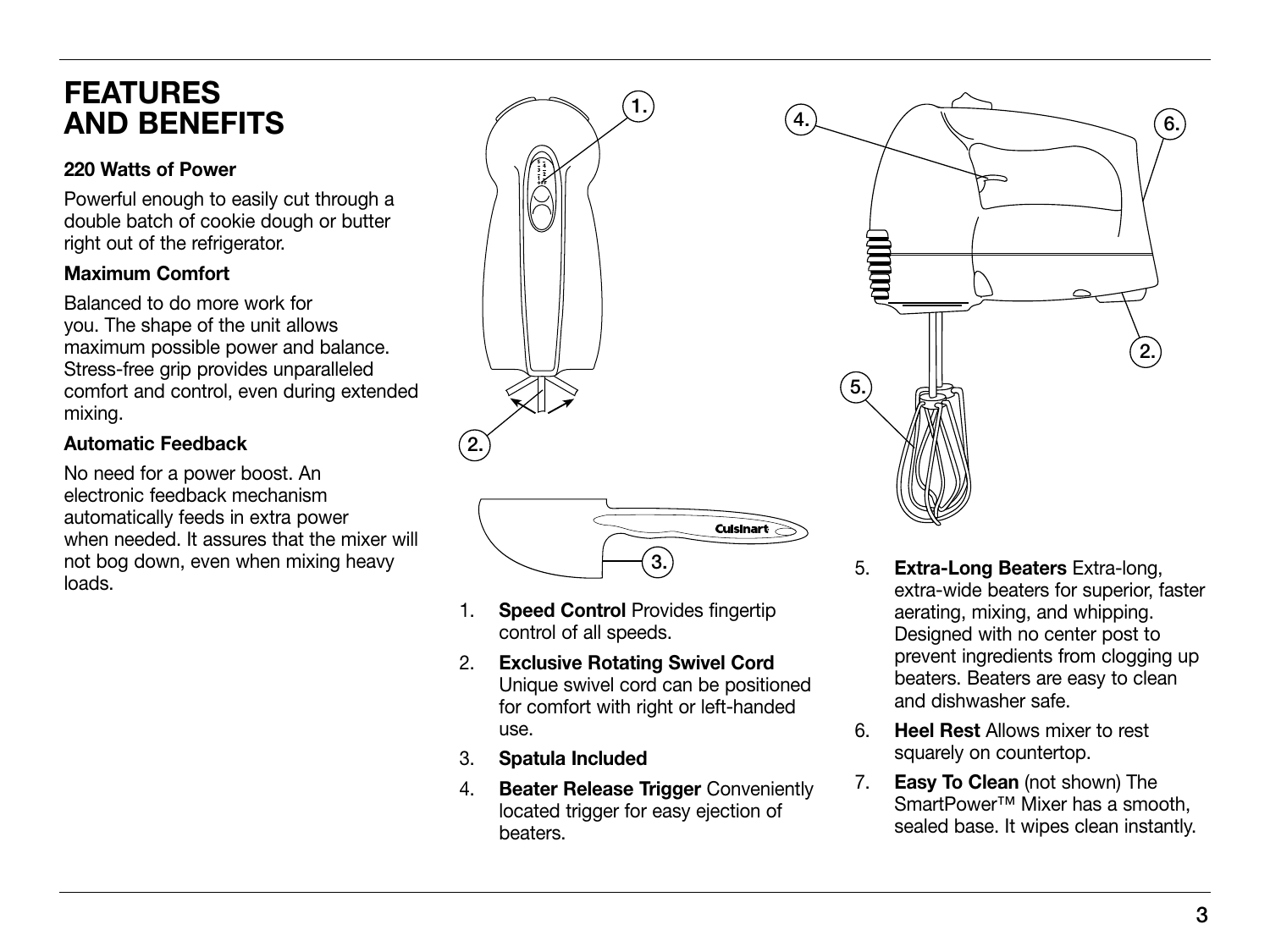### FEATURES AND BENEFITS

#### 220 Watts of Power

Powerful enough to easily cut through a double batch of cookie dough or butter right out of the refrigerator.

#### Maximum Comfort

Balanced to do more work for you. The shape of the unit allows maximum possible power and balance. Stress-free grip provides unparalleled comfort and control, even during extended mixing.

#### Automatic Feedback

No need for a power boost. An electronic feedback mechanism automatically feeds in extra power when needed. It assures that the mixer will not bog down, even when mixing heavy loads.



- 1. **Speed Control** Provides fingertip control of all speeds.
- 2. Exclusive Rotating Swivel Cord Unique swivel cord can be positioned for comfort with right or left-handed use.
- 3. Spatula Included
- 4. Beater Release Trigger Conveniently located trigger for easy ejection of beaters.
- 5. Extra-Long Beaters Extra-long, extra-wide beaters for superior, faster aerating, mixing, and whipping. Designed with no center post to prevent ingredients from clogging up beaters. Beaters are easy to clean and dishwasher safe.
- 6. Heel Rest Allows mixer to rest squarely on countertop.
- 7. **Easy To Clean** (not shown) The SmartPower<sup>™</sup> Mixer has a smooth. sealed base. It wipes clean instantly.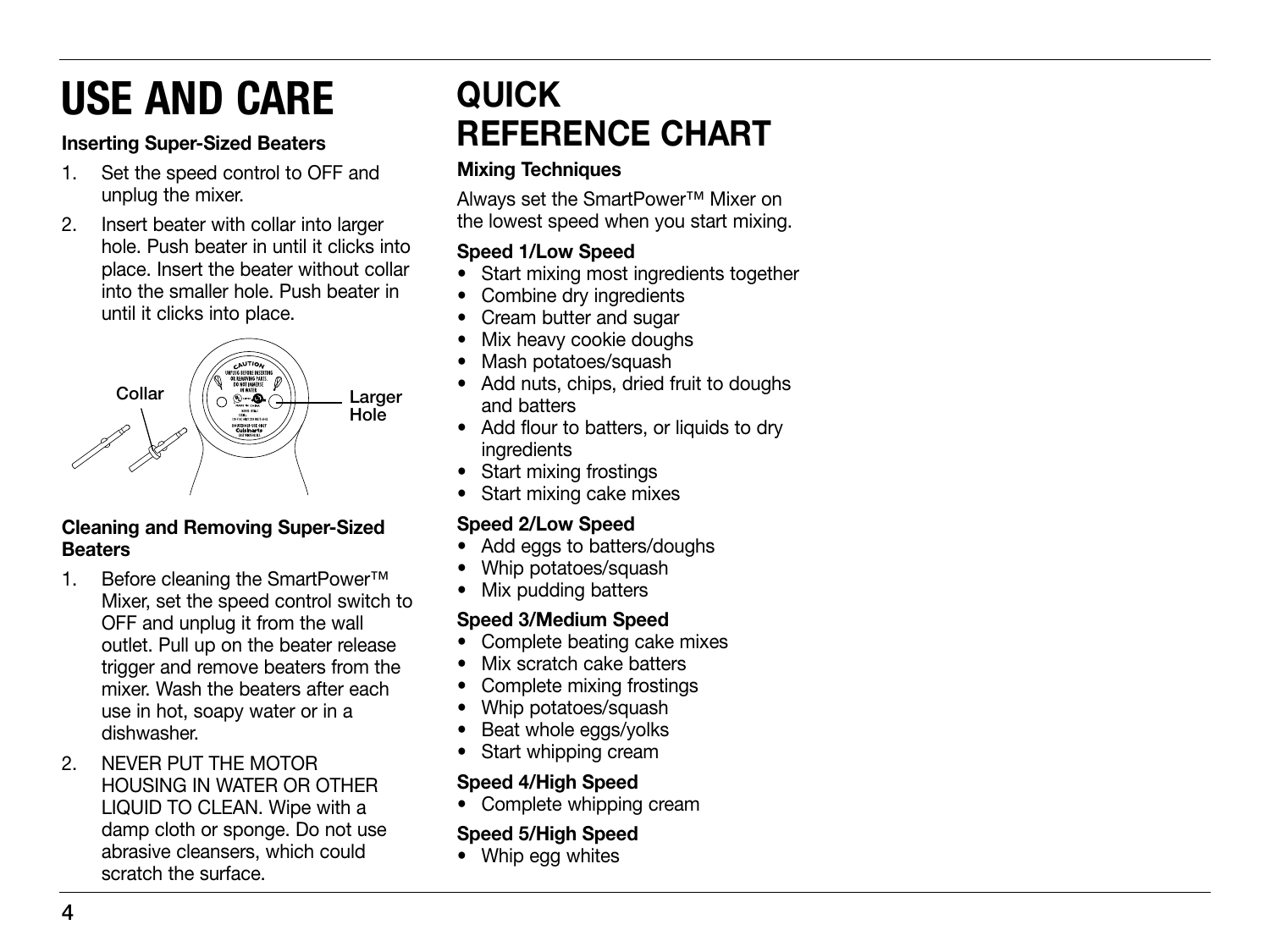# USE AND CARE

### Inserting Super-Sized Beaters

- 1. Set the speed control to OFF and unplug the mixer.
- 2. Insert beater with collar into larger hole. Push beater in until it clicks into place. Insert the beater without collar into the smaller hole. Push beater in until it clicks into place.



### Cleaning and Removing Super-Sized **Beaters**

- 1. Before cleaning the SmartPower™ Mixer, set the speed control switch to OFF and unplug it from the wall outlet. Pull up on the beater release trigger and remove beaters from the mixer. Wash the beaters after each use in hot, soapy water or in a dishwasher.
- 2. NEVER PUT THE MOTOR HOUSING IN WATER OR OTHER LIQUID TO CLEAN. Wipe with a damp cloth or sponge. Do not use abrasive cleansers, which could scratch the surface.

# QUICK REFERENCE CHART

### Mixing Techniques

Always set the SmartPower™ Mixer on the lowest speed when you start mixing.

### Speed 1/Low Speed

- Start mixing most ingredients together
- Combine dry ingredients
- Cream butter and sugar
- Mix heavy cookie doughs
- Mash potatoes/squash
- Add nuts, chips, dried fruit to doughs and batters
- Add flour to batters, or liquids to dry ingredients
- Start mixing frostings
- Start mixing cake mixes

### Speed 2/Low Speed

- Add eggs to batters/doughs
- Whip potatoes/squash
- Mix pudding batters

### Speed 3/Medium Speed

- Complete beating cake mixes
- Mix scratch cake batters
- Complete mixing frostings
- Whip potatoes/squash
- Beat whole eggs/yolks
- Start whipping cream

### Speed 4/High Speed

• Complete whipping cream

### Speed 5/High Speed

• Whip egg whites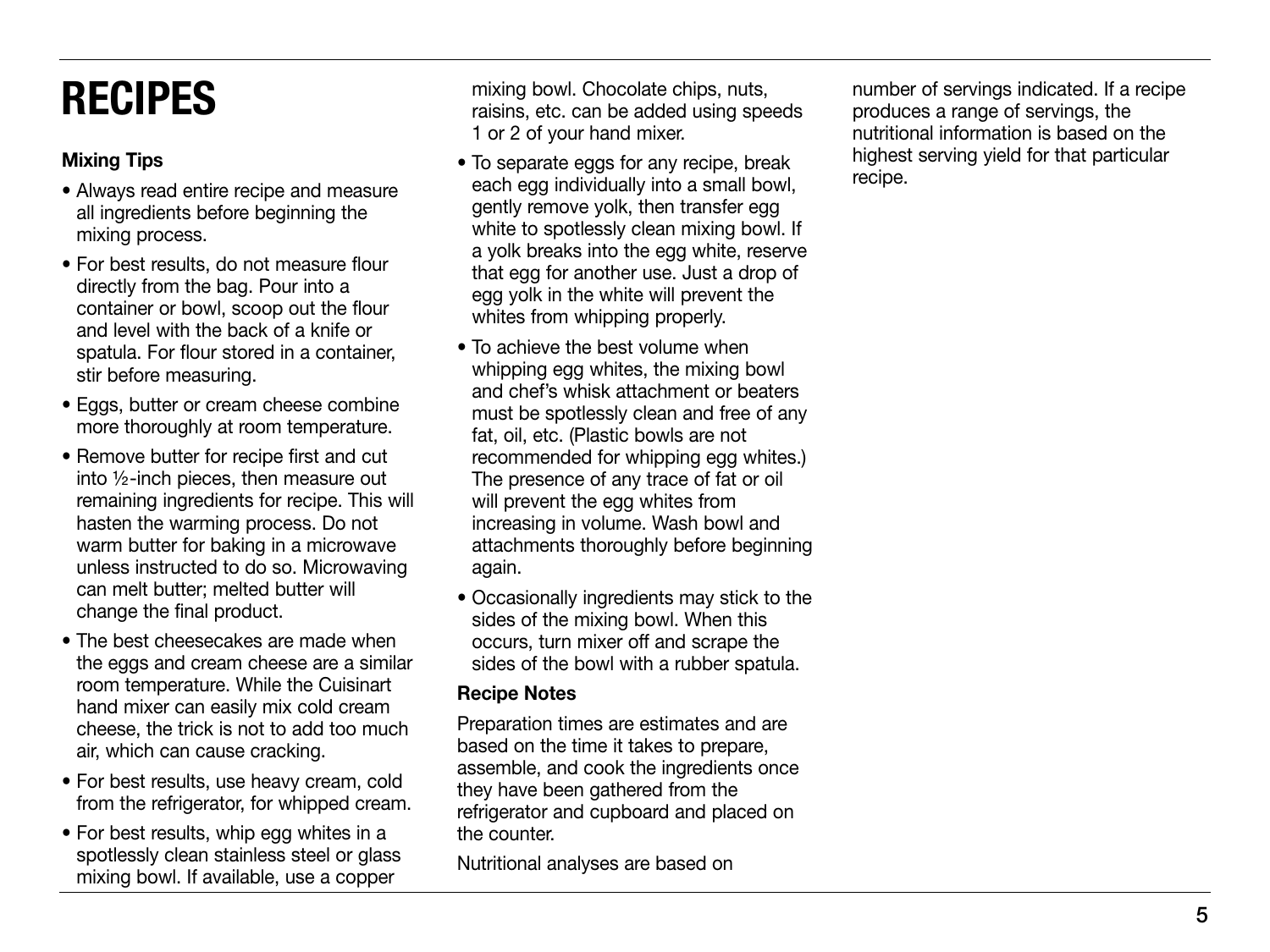# RECIPES

### Mixing Tips

- Always read entire recipe and measure all ingredients before beginning the mixing process.
- For best results, do not measure flour directly from the bag. Pour into a container or bowl, scoop out the flour and level with the back of a knife or spatula. For flour stored in a container, stir before measuring.
- Eggs, butter or cream cheese combine more thoroughly at room temperature.
- Remove butter for recipe first and cut into ½-inch pieces, then measure out remaining ingredients for recipe. This will hasten the warming process. Do not warm butter for baking in a microwave unless instructed to do so. Microwaving can melt butter; melted butter will change the final product.
- The best cheesecakes are made when the eggs and cream cheese are a similar room temperature. While the Cuisinart hand mixer can easily mix cold cream cheese, the trick is not to add too much air, which can cause cracking.
- For best results, use heavy cream, cold from the refrigerator, for whipped cream.
- For best results, whip egg whites in a spotlessly clean stainless steel or glass mixing bowl. If available, use a copper

mixing bowl. Chocolate chips, nuts, raisins, etc. can be added using speeds 1 or 2 of your hand mixer.

- To separate eggs for any recipe, break each egg individually into a small bowl. gently remove yolk, then transfer egg white to spotlessly clean mixing bowl. If a yolk breaks into the egg white, reserve that egg for another use. Just a drop of egg yolk in the white will prevent the whites from whipping properly.
- To achieve the best volume when whipping egg whites, the mixing bowl and chef's whisk attachment or beaters must be spotlessly clean and free of any fat, oil, etc. (Plastic bowls are not recommended for whipping egg whites.) The presence of any trace of fat or oil will prevent the egg whites from increasing in volume. Wash bowl and attachments thoroughly before beginning again.
- Occasionally ingredients may stick to the sides of the mixing bowl. When this occurs, turn mixer off and scrape the sides of the bowl with a rubber spatula.

#### Recipe Notes

Preparation times are estimates and are based on the time it takes to prepare, assemble, and cook the ingredients once they have been gathered from the refrigerator and cupboard and placed on the counter.

Nutritional analyses are based on

number of servings indicated. If a recipe produces a range of servings, the nutritional information is based on the highest serving yield for that particular recipe.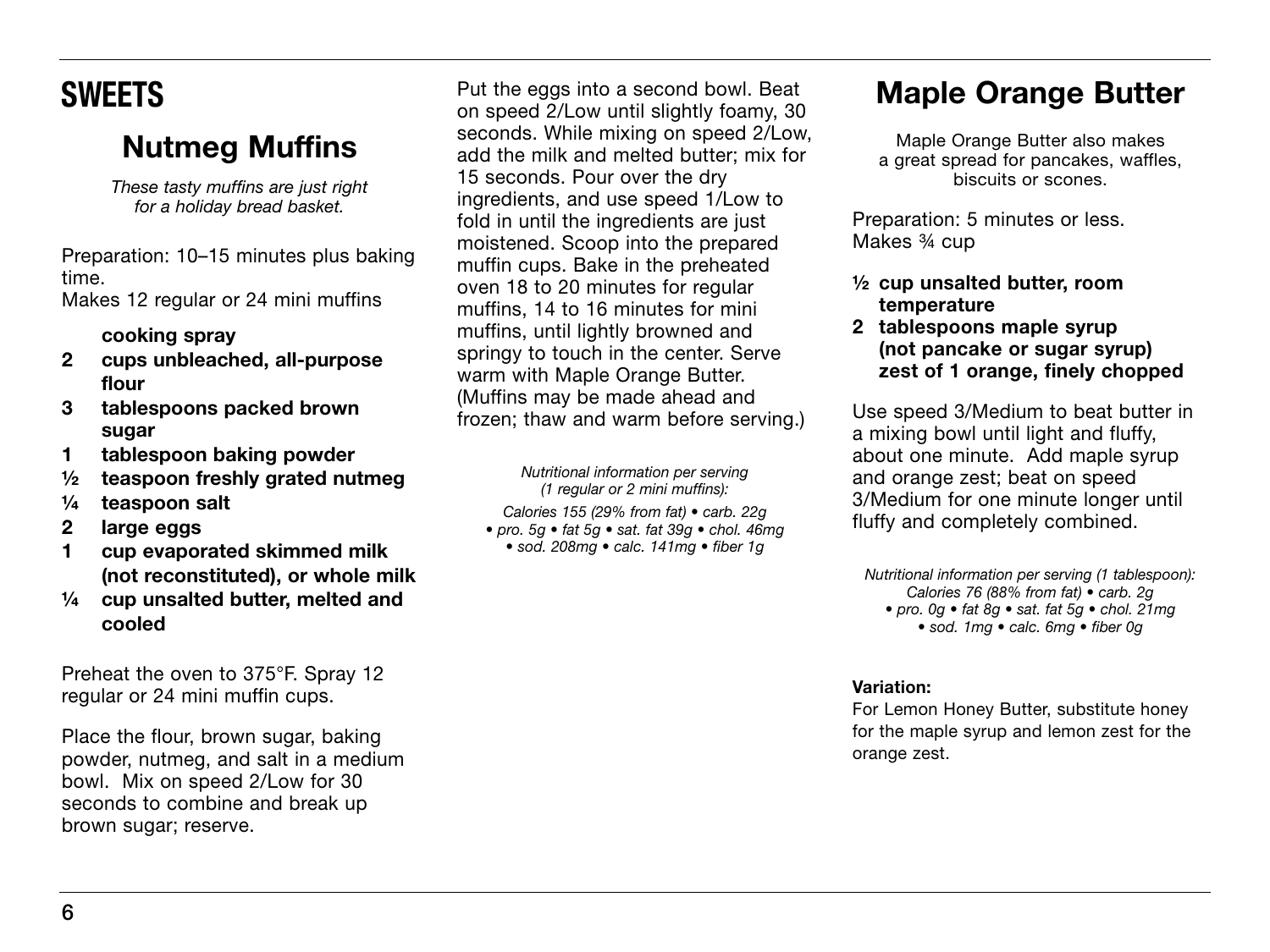# **SWEETS**

# Nutmeg Muffins

*These tasty muffins are just right for a holiday bread basket.*

Preparation: 10–15 minutes plus baking time.

Makes 12 regular or 24 mini muffins

#### cooking spray

- 2 cups unbleached, all-purpose flour
- 3 tablespoons packed brown sugar
- 1 tablespoon baking powder
- ½ teaspoon freshly grated nutmeg
- ¼ teaspoon salt
- 2 large eggs
- 1 cup evaporated skimmed milk (not reconstituted), or whole milk
- ¼ cup unsalted butter, melted and cooled

Preheat the oven to 375°F. Spray 12 regular or 24 mini muffin cups.

Place the flour, brown sugar, baking powder, nutmeg, and salt in a medium bowl. Mix on speed 2/Low for 30 seconds to combine and break up brown sugar; reserve.

Put the eggs into a second bowl. Beat on speed 2/Low until slightly foamy, 30 seconds. While mixing on speed 2/Low, add the milk and melted butter; mix for 15 seconds. Pour over the dry ingredients, and use speed 1/Low to fold in until the ingredients are just moistened. Scoop into the prepared muffin cups. Bake in the preheated oven 18 to 20 minutes for regular muffins, 14 to 16 minutes for mini muffins, until lightly browned and springy to touch in the center. Serve warm with Maple Orange Butter. (Muffins may be made ahead and frozen; thaw and warm before serving.)

> *Nutritional information per serving (1 regular or 2 mini muffins):*

- *Calories 155 (29% from fat) carb. 22g*
- *pro. 5g fat 5g sat. fat 39g chol. 46mg* 
	- *sod. 208mg calc. 141mg fiber 1g*

## Maple Orange Butter

Maple Orange Butter also makes a great spread for pancakes, waffles, biscuits or scones.

Preparation: 5 minutes or less. Makes ¾ cup

- ½ cup unsalted butter, room temperature
- 2 tablespoons maple syrup (not pancake or sugar syrup) zest of 1 orange, finely chopped

Use speed 3/Medium to beat butter in a mixing bowl until light and fluffy, about one minute. Add maple syrup and orange zest; beat on speed 3/Medium for one minute longer until fluffy and completely combined.

*Nutritional information per serving (1 tablespoon): Calories 76 (88% from fat) • carb. 2g • pro. 0g • fat 8g • sat. fat 5g • chol. 21mg • sod. 1mg • calc. 6mg • fiber 0g*

#### Variation:

For Lemon Honey Butter, substitute honey for the maple syrup and lemon zest for the orange zest.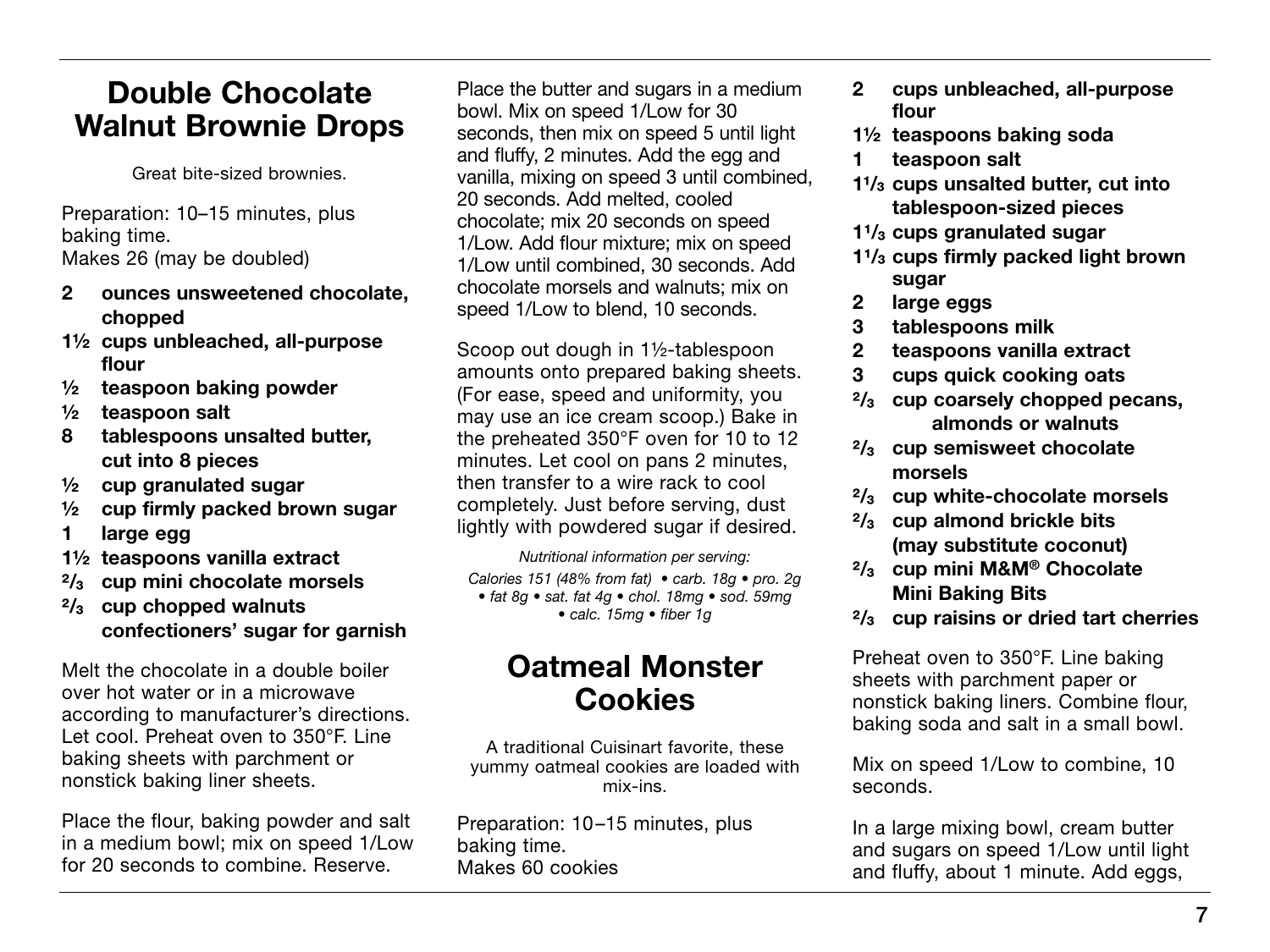### Double Chocolate Walnut Brownie Drops

Great bite-sized brownies.

Preparation: 10–15 minutes, plus baking time. Makes 26 (may be doubled)

- 2 ounces unsweetened chocolate, chopped
- 1½ cups unbleached, all-purpose flour
- ½ teaspoon baking powder
- ½ teaspoon salt
- 8 tablespoons unsalted butter, cut into 8 pieces
- ½ cup granulated sugar
- ½ cup firmly packed brown sugar
- 1 large egg
- 1½ teaspoons vanilla extract
- $\frac{2}{3}$  cup mini chocolate morsels
- $\frac{2}{3}$  cup chopped walnuts confectioners' sugar for garnish

Melt the chocolate in a double boiler over hot water or in a microwave according to manufacturer's directions. Let cool. Preheat oven to 350°F. Line baking sheets with parchment or nonstick baking liner sheets.

Place the flour, baking powder and salt in a medium bowl; mix on speed 1/Low for 20 seconds to combine. Reserve.

Place the butter and sugars in a medium bowl. Mix on speed 1/Low for 30 seconds, then mix on speed 5 until light and fluffy, 2 minutes. Add the egg and vanilla, mixing on speed 3 until combined, 20 seconds. Add melted, cooled chocolate; mix 20 seconds on speed 1/Low. Add flour mixture; mix on speed 1/Low until combined, 30 seconds. Add chocolate morsels and walnuts; mix on speed 1/Low to blend, 10 seconds.

Scoop out dough in 1½-tablespoon amounts onto prepared baking sheets. (For ease, speed and uniformity, you may use an ice cream scoop.) Bake in the preheated 350°F oven for 10 to 12 minutes. Let cool on pans 2 minutes, then transfer to a wire rack to cool completely. Just before serving, dust lightly with powdered sugar if desired.

*Nutritional information per serving: Calories 151 (48% from fat) • carb. 18g • pro. 2g • fat 8g • sat. fat 4g • chol. 18mg • sod. 59mg • calc. 15mg • fiber 1g*

### Oatmeal Monster **Cookies**

A traditional Cuisinart favorite, these yummy oatmeal cookies are loaded with mix-ins.

Preparation: 10–15 minutes, plus baking time. Makes 60 cookies

- 2 cups unbleached, all-purpose flour
- 1½ teaspoons baking soda
- 1 teaspoon salt
- $1\frac{1}{3}$  cups unsalted butter, cut into tablespoon-sized pieces
- $1\frac{1}{3}$  cups granulated sugar
- $1\frac{1}{3}$  cups firmly packed light brown sugar
- 2 large eggs
- 3 tablespoons milk
- 2 teaspoons vanilla extract
- 3 cups quick cooking oats
- $\frac{2}{3}$  cup coarsely chopped pecans, almonds or walnuts
- $2/3$  cup semisweet chocolate morsels
- $\frac{2}{3}$  cup white-chocolate morsels
- $\frac{2}{3}$  cup almond brickle bits (may substitute coconut)
- $\frac{2}{3}$  cup mini M&M® Chocolate Mini Baking Bits
- $\frac{2}{3}$  cup raisins or dried tart cherries

Preheat oven to 350°F. Line baking sheets with parchment paper or nonstick baking liners. Combine flour, baking soda and salt in a small bowl.

Mix on speed 1/Low to combine, 10 seconds.

In a large mixing bowl, cream butter and sugars on speed 1/Low until light and fluffy, about 1 minute. Add eggs,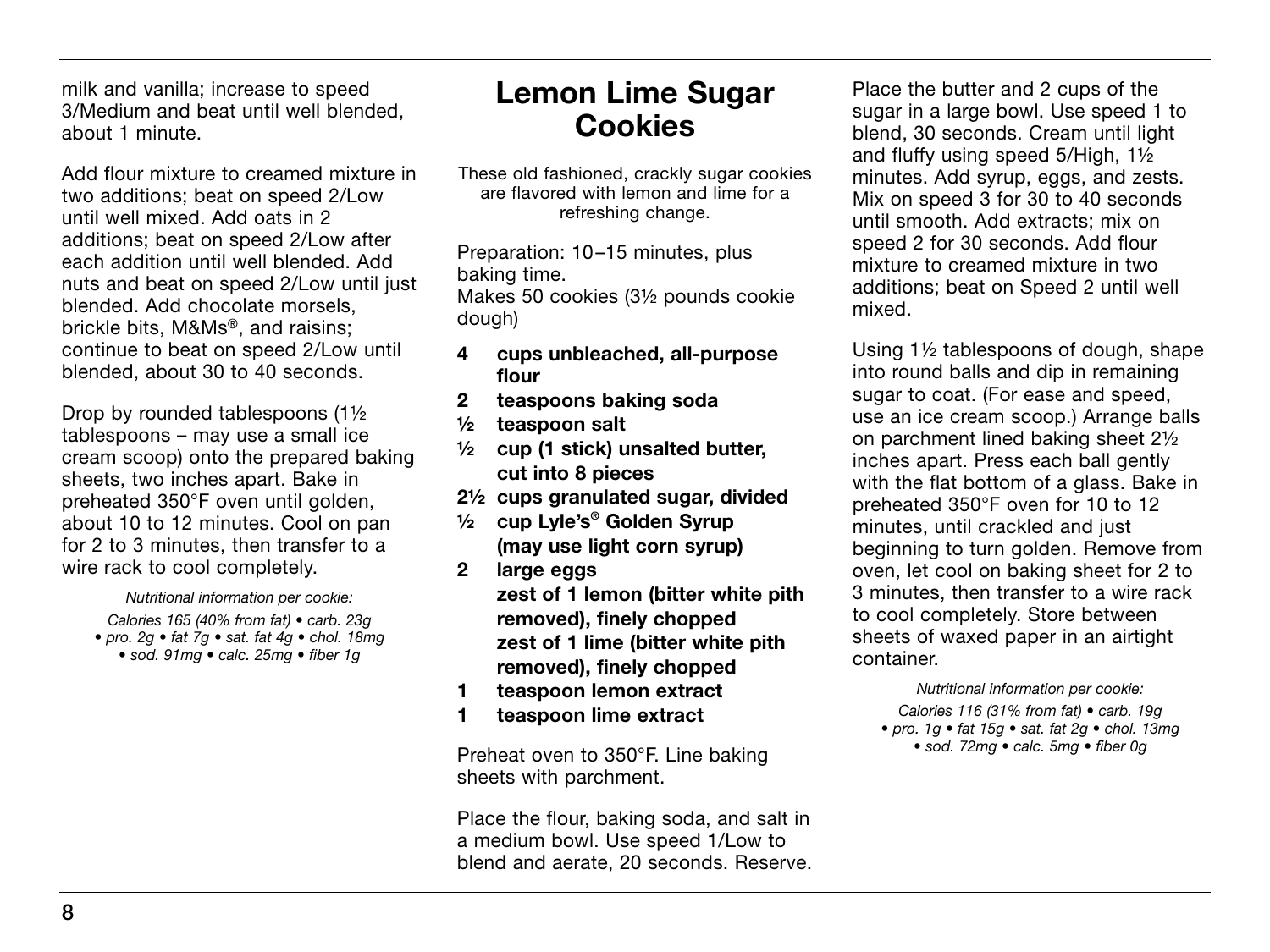milk and vanilla; increase to speed 3/Medium and beat until well blended, about 1 minute.

Add flour mixture to creamed mixture in two additions; beat on speed 2/Low until well mixed. Add oats in 2 additions; beat on speed 2/Low after each addition until well blended. Add nuts and beat on speed 2/Low until just blended. Add chocolate morsels, brickle bits, M&Ms®, and raisins; continue to beat on speed 2/Low until blended, about 30 to 40 seconds.

Drop by rounded tablespoons (1½ tablespoons – may use a small ice cream scoop) onto the prepared baking sheets, two inches apart. Bake in preheated 350°F oven until golden, about 10 to 12 minutes. Cool on pan for 2 to 3 minutes, then transfer to a wire rack to cool completely.

*Nutritional information per cookie: Calories 165 (40% from fat) • carb. 23g • pro. 2g • fat 7g • sat. fat 4g • chol. 18mg • sod. 91mg • calc. 25mg • fiber 1g*

### Lemon Lime Sugar **Cookies**

These old fashioned, crackly sugar cookies are flavored with lemon and lime for a refreshing change.

Preparation: 10–15 minutes, plus baking time.

Makes 50 cookies (3½ pounds cookie dough)

- 4 cups unbleached, all-purpose flour
- 2 teaspoons baking soda
- ½ teaspoon salt
- ½ cup (1 stick) unsalted butter, cut into 8 pieces
- 2½ cups granulated sugar, divided
- ½ cup Lyle's® Golden Syrup (may use light corn syrup)
- 2 large eggs zest of 1 lemon (bitter white pith removed), finely chopped zest of 1 lime (bitter white pith removed), finely chopped
- 1 teaspoon lemon extract
- 1 teaspoon lime extract

Preheat oven to 350°F. Line baking sheets with parchment.

Place the flour, baking soda, and salt in a medium bowl. Use speed 1/Low to blend and aerate, 20 seconds. Reserve. Place the butter and 2 cups of the sugar in a large bowl. Use speed 1 to blend, 30 seconds. Cream until light and fluffy using speed 5/High, 1½ minutes. Add syrup, eggs, and zests. Mix on speed 3 for 30 to 40 seconds until smooth. Add extracts; mix on speed 2 for 30 seconds. Add flour mixture to creamed mixture in two additions; beat on Speed 2 until well mixed.

Using 1½ tablespoons of dough, shape into round balls and dip in remaining sugar to coat. (For ease and speed, use an ice cream scoop.) Arrange balls on parchment lined baking sheet 2½ inches apart. Press each ball gently with the flat bottom of a glass. Bake in preheated 350°F oven for 10 to 12 minutes, until crackled and just beginning to turn golden. Remove from oven, let cool on baking sheet for 2 to 3 minutes, then transfer to a wire rack to cool completely. Store between sheets of waxed paper in an airtight container.

*Nutritional information per cookie:*

- *Calories 116 (31% from fat) carb. 19g*
- *pro. 1g fat 15g sat. fat 2g chol. 13mg* 
	- *sod. 72mg calc. 5mg fiber 0g*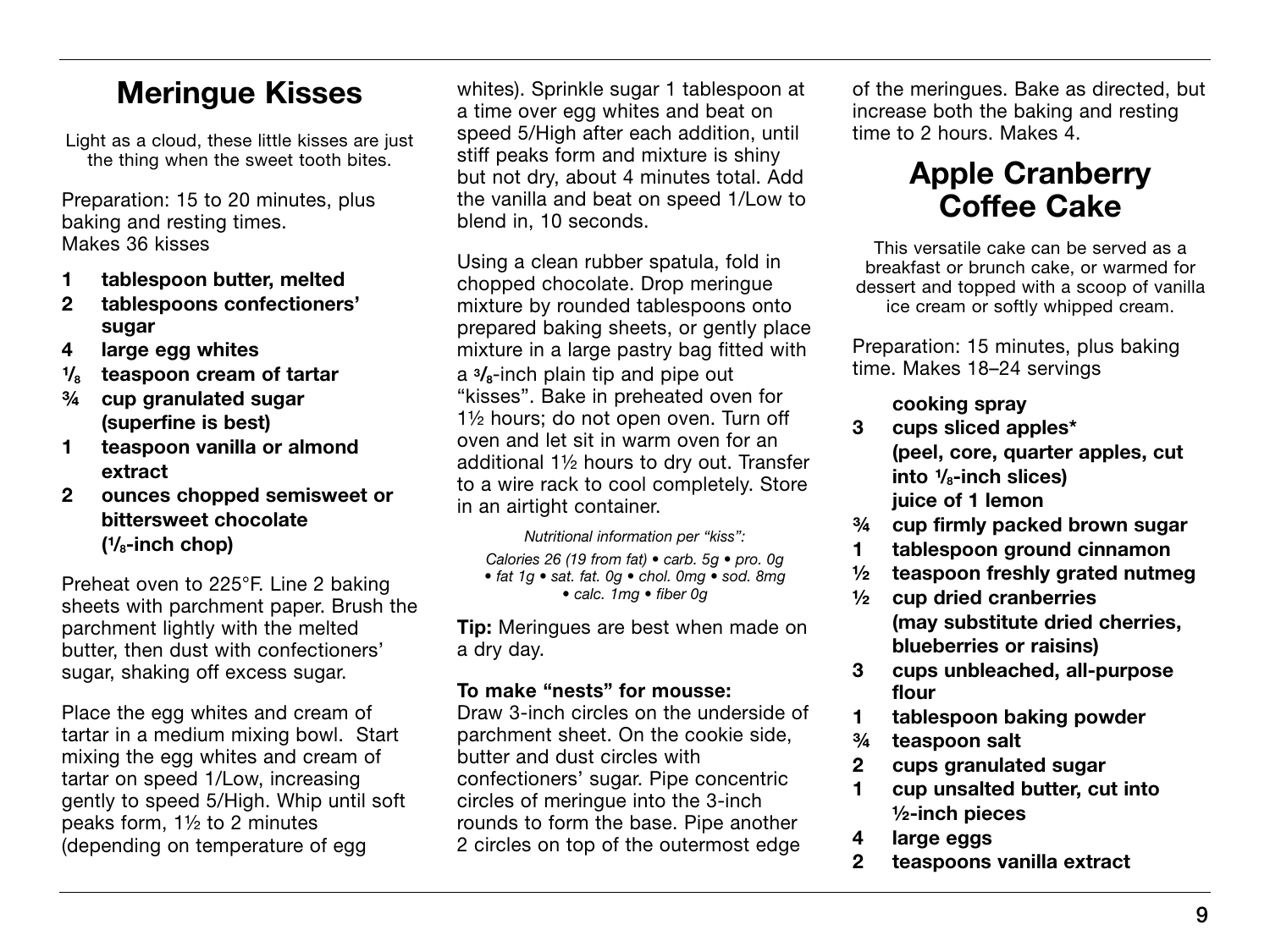### Meringue Kisses

Light as a cloud, these little kisses are just the thing when the sweet tooth bites.

Preparation: 15 to 20 minutes, plus baking and resting times. Makes 36 kisses

- 1 tablespoon butter, melted
- 2 tablespoons confectioners' sugar
- 4 large egg whites
- $\frac{1}{8}$  teaspoon cream of tartar
- ¾ cup granulated sugar (superfine is best)
- 1 teaspoon vanilla or almond extract
- 2 ounces chopped semisweet or bittersweet chocolate  $(V<sub>8</sub>-inch chop)$

Preheat oven to 225°F. Line 2 baking sheets with parchment paper. Brush the parchment lightly with the melted butter, then dust with confectioners' sugar, shaking off excess sugar.

Place the egg whites and cream of tartar in a medium mixing bowl. Start mixing the egg whites and cream of tartar on speed 1/Low, increasing gently to speed 5/High. Whip until soft peaks form, 1½ to 2 minutes (depending on temperature of egg

whites). Sprinkle sugar 1 tablespoon at a time over egg whites and beat on speed 5/High after each addition, until stiff peaks form and mixture is shiny but not dry, about 4 minutes total. Add the vanilla and beat on speed 1/Low to blend in, 10 seconds.

Using a clean rubber spatula, fold in chopped chocolate. Drop meringue mixture by rounded tablespoons onto prepared baking sheets, or gently place mixture in a large pastry bag fitted with a  $\frac{3}{8}$ -inch plain tip and pipe out "kisses". Bake in preheated oven for 1½ hours; do not open oven. Turn off oven and let sit in warm oven for an additional 1½ hours to dry out. Transfer to a wire rack to cool completely. Store in an airtight container.

*Nutritional information per "kiss": Calories 26 (19 from fat) • carb. 5g • pro. 0g • fat 1g • sat. fat. 0g • chol. 0mg • sod. 8mg • calc. 1mg • fiber 0g*

**Tip:** Meringues are best when made on a dry day.

#### To make "nests" for mousse:

Draw 3-inch circles on the underside of parchment sheet. On the cookie side, butter and dust circles with confectioners' sugar. Pipe concentric circles of meringue into the 3-inch rounds to form the base. Pipe another 2 circles on top of the outermost edge

of the meringues. Bake as directed, but increase both the baking and resting time to 2 hours. Makes 4.

### Apple Cranberry Coffee Cake

This versatile cake can be served as a breakfast or brunch cake, or warmed for dessert and topped with a scoop of vanilla ice cream or softly whipped cream.

Preparation: 15 minutes, plus baking time. Makes 18–24 servings

#### cooking spray

- 3 cups sliced apples\* (peel, core, quarter apples, cut into  $\frac{1}{8}$ -inch slices) juice of 1 lemon
- ¾ cup firmly packed brown sugar
- 1 tablespoon ground cinnamon
- ½ teaspoon freshly grated nutmeg
- ½ cup dried cranberries (may substitute dried cherries, blueberries or raisins)
- 3 cups unbleached, all-purpose flour
- 1 tablespoon baking powder
- ¾ teaspoon salt
- 2 cups granulated sugar
- 1 cup unsalted butter, cut into ½-inch pieces
- 4 large eggs
- 2 teaspoons vanilla extract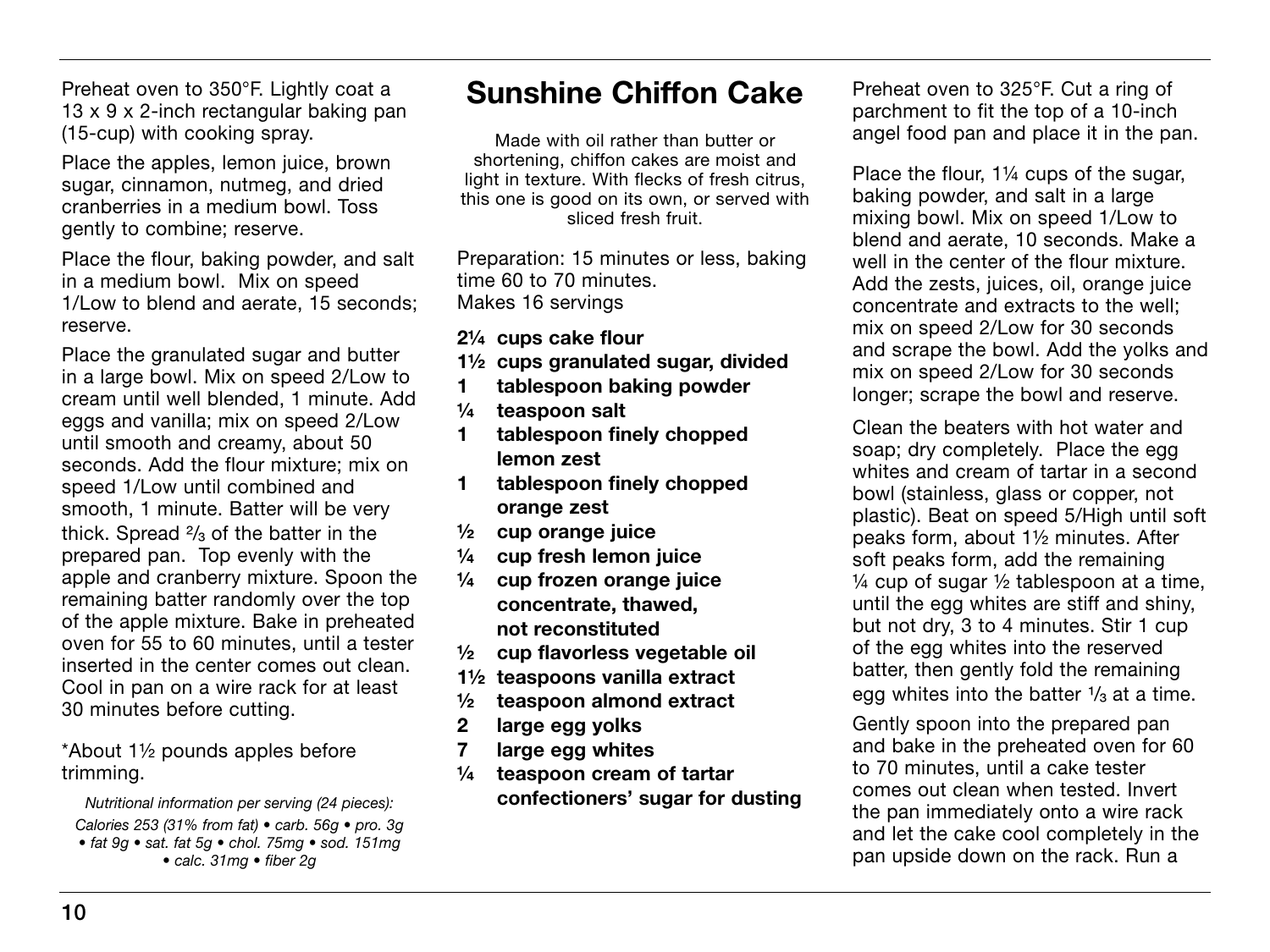Preheat oven to 350°F. Lightly coat a 13 x 9 x 2-inch rectangular baking pan (15-cup) with cooking spray.

Place the apples, lemon juice, brown sugar, cinnamon, nutmeg, and dried cranberries in a medium bowl. Toss gently to combine; reserve.

Place the flour, baking powder, and salt in a medium bowl. Mix on speed 1/Low to blend and aerate, 15 seconds; reserve.

Place the granulated sugar and butter in a large bowl. Mix on speed 2/Low to cream until well blended, 1 minute. Add eggs and vanilla; mix on speed 2/Low until smooth and creamy, about 50 seconds. Add the flour mixture; mix on speed 1/Low until combined and smooth, 1 minute. Batter will be very thick. Spread  $\frac{2}{3}$  of the batter in the prepared pan. Top evenly with the apple and cranberry mixture. Spoon the remaining batter randomly over the top of the apple mixture. Bake in preheated oven for 55 to 60 minutes, until a tester inserted in the center comes out clean. Cool in pan on a wire rack for at least 30 minutes before cutting.

\*About 1½ pounds apples before trimming.

*Nutritional information per serving (24 pieces):*

*Calories 253 (31% from fat) • carb. 56g • pro. 3g • fat 9g • sat. fat 5g • chol. 75mg • sod. 151mg • calc. 31mg • fiber 2g*

## Sunshine Chiffon Cake

Made with oil rather than butter or shortening, chiffon cakes are moist and light in texture. With flecks of fresh citrus, this one is good on its own, or served with sliced fresh fruit.

Preparation: 15 minutes or less, baking time 60 to 70 minutes. Makes 16 servings

2¼ cups cake flour

- 1½ cups granulated sugar, divided
- 1 tablespoon baking powder
- ¼ teaspoon salt
- 1 tablespoon finely chopped lemon zest
- 1 tablespoon finely chopped orange zest
- $\frac{1}{2}$  cup orange juice
- ¼ cup fresh lemon juice
- ¼ cup frozen orange juice concentrate, thawed, not reconstituted
- ½ cup flavorless vegetable oil
- 1½ teaspoons vanilla extract
- ½ teaspoon almond extract
- 2 large egg yolks
- 7 large egg whites
- ¼ teaspoon cream of tartar confectioners' sugar for dusting

Preheat oven to 325°F. Cut a ring of parchment to fit the top of a 10-inch angel food pan and place it in the pan.

Place the flour, 1¼ cups of the sugar, baking powder, and salt in a large mixing bowl. Mix on speed 1/Low to blend and aerate, 10 seconds. Make a well in the center of the flour mixture. Add the zests, juices, oil, orange juice concentrate and extracts to the well; mix on speed 2/Low for 30 seconds and scrape the bowl. Add the yolks and mix on speed 2/Low for 30 seconds longer; scrape the bowl and reserve.

Clean the beaters with hot water and soap; dry completely. Place the egg whites and cream of tartar in a second bowl (stainless, glass or copper, not plastic). Beat on speed 5/High until soft peaks form, about 1½ minutes. After soft peaks form, add the remaining  $\frac{1}{4}$  cup of sugar  $\frac{1}{2}$  tablespoon at a time, until the egg whites are stiff and shiny, but not dry, 3 to 4 minutes. Stir 1 cup of the egg whites into the reserved batter, then gently fold the remaining egg whites into the batter 1/<sub>3</sub> at a time.

Gently spoon into the prepared pan and bake in the preheated oven for 60 to 70 minutes, until a cake tester comes out clean when tested. Invert the pan immediately onto a wire rack and let the cake cool completely in the pan upside down on the rack. Run a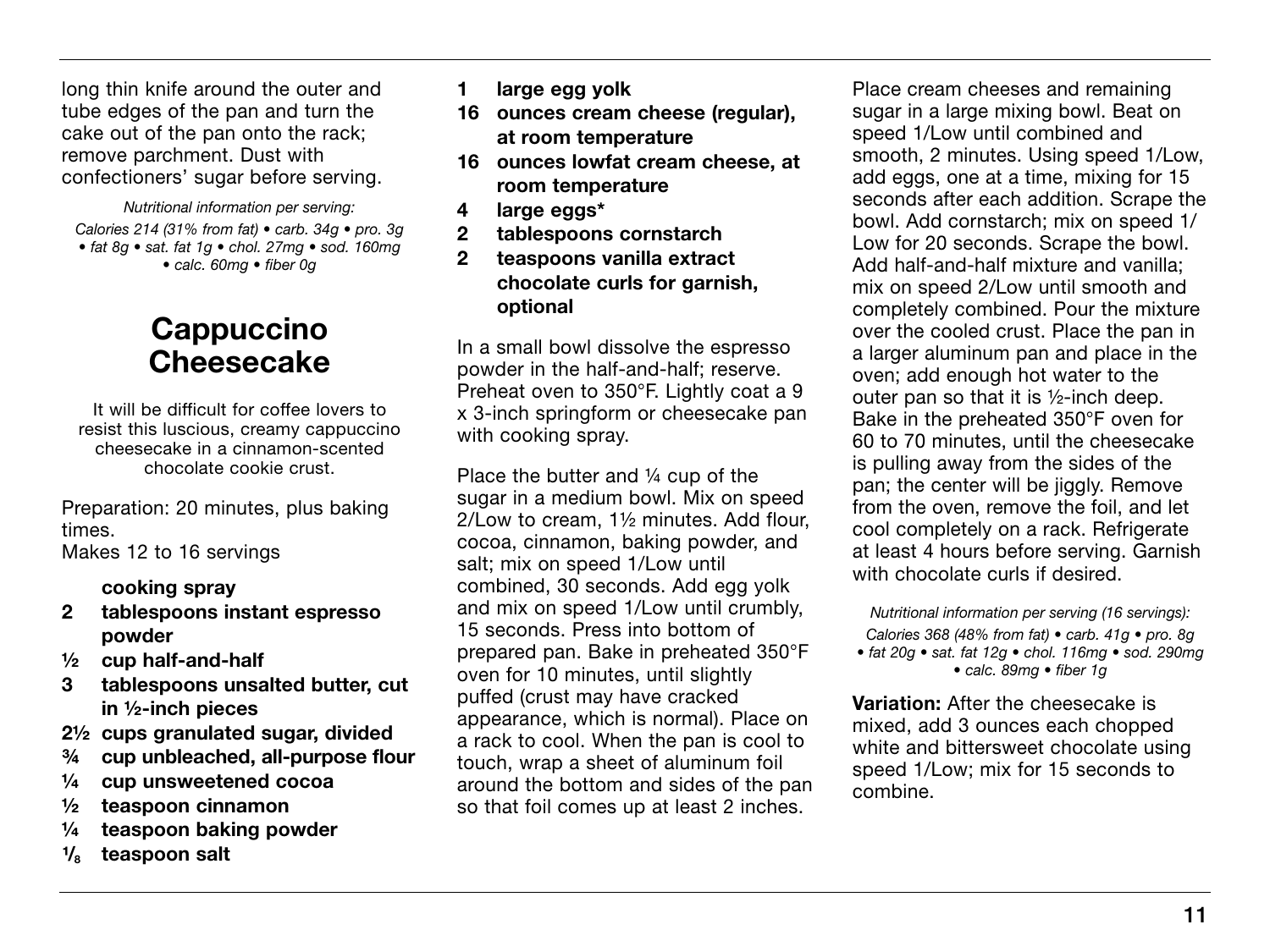long thin knife around the outer and tube edges of the pan and turn the cake out of the pan onto the rack; remove parchment. Dust with confectioners' sugar before serving.

*Nutritional information per serving: Calories 214 (31% from fat) • carb. 34g • pro. 3g • fat 8g • sat. fat 1g • chol. 27mg • sod. 160mg • calc. 60mg • fiber 0g*

### Cappuccino **Cheesecake**

It will be difficult for coffee lovers to resist this luscious, creamy cappuccino cheesecake in a cinnamon-scented chocolate cookie crust.

Preparation: 20 minutes, plus baking times. Makes 12 to 16 servings

#### cooking spray

- 2 tablespoons instant espresso powder
- ½ cup half-and-half
- 3 tablespoons unsalted butter, cut in ½-inch pieces
- 2½ cups granulated sugar, divided
- ¾ cup unbleached, all-purpose flour
- ¼ cup unsweetened cocoa
- ½ teaspoon cinnamon
- ¼ teaspoon baking powder
- teaspoon salt
- 1 large egg yolk
- 16 ounces cream cheese (regular), at room temperature
- 16 ounces lowfat cream cheese, at room temperature
- 4 large eggs\*
- 2 tablespoons cornstarch
- 2 teaspoons vanilla extract chocolate curls for garnish, optional

In a small bowl dissolve the espresso powder in the half-and-half; reserve. Preheat oven to 350°F. Lightly coat a 9 x 3-inch springform or cheesecake pan with cooking spray.

Place the butter and ¼ cup of the sugar in a medium bowl. Mix on speed 2/Low to cream, 1½ minutes. Add flour, cocoa, cinnamon, baking powder, and salt; mix on speed 1/Low until combined, 30 seconds. Add egg yolk and mix on speed 1/Low until crumbly, 15 seconds. Press into bottom of prepared pan. Bake in preheated 350°F oven for 10 minutes, until slightly puffed (crust may have cracked appearance, which is normal). Place on a rack to cool. When the pan is cool to touch, wrap a sheet of aluminum foil around the bottom and sides of the pan so that foil comes up at least 2 inches.

Place cream cheeses and remaining sugar in a large mixing bowl. Beat on speed 1/Low until combined and smooth, 2 minutes. Using speed 1/Low, add eggs, one at a time, mixing for 15 seconds after each addition. Scrape the bowl. Add cornstarch; mix on speed 1/ Low for 20 seconds. Scrape the bowl. Add half-and-half mixture and vanilla; mix on speed 2/Low until smooth and completely combined. Pour the mixture over the cooled crust. Place the pan in a larger aluminum pan and place in the oven; add enough hot water to the outer pan so that it is ½-inch deep. Bake in the preheated 350°F oven for 60 to 70 minutes, until the cheesecake is pulling away from the sides of the pan; the center will be jiggly. Remove from the oven, remove the foil, and let cool completely on a rack. Refrigerate at least 4 hours before serving. Garnish with chocolate curls if desired.

*Nutritional information per serving (16 servings): Calories 368 (48% from fat) • carb. 41g • pro. 8g • fat 20g • sat. fat 12g • chol. 116mg • sod. 290mg • calc. 89mg • fiber 1g*

Variation: After the cheesecake is mixed, add 3 ounces each chopped white and bittersweet chocolate using speed 1/Low; mix for 15 seconds to combine.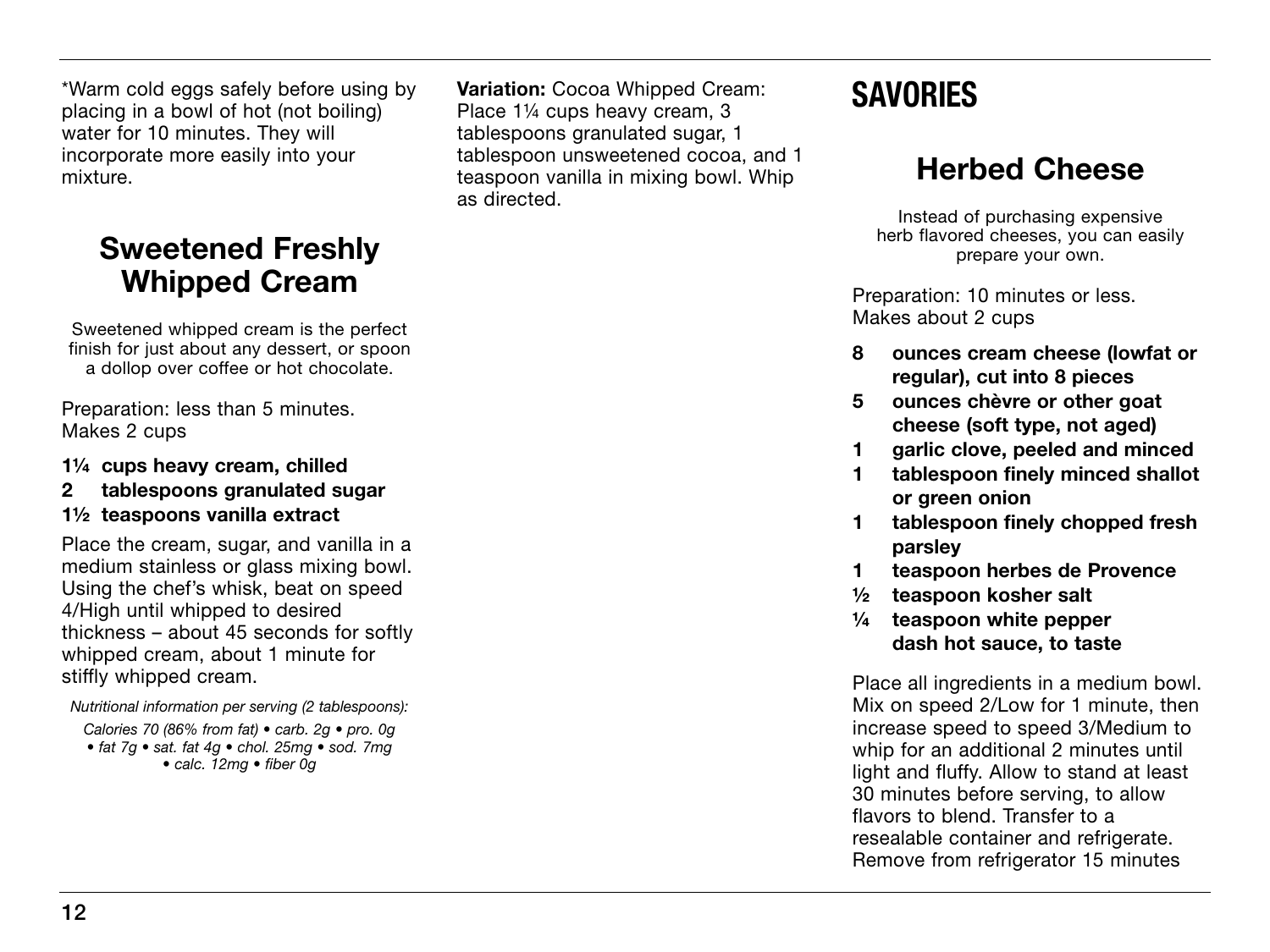\*Warm cold eggs safely before using by placing in a bowl of hot (not boiling) water for 10 minutes. They will incorporate more easily into your mixture.

### Sweetened Freshly Whipped Cream

Sweetened whipped cream is the perfect finish for just about any dessert, or spoon a dollop over coffee or hot chocolate.

Preparation: less than 5 minutes. Makes 2 cups

- 1¼ cups heavy cream, chilled
- 2 tablespoons granulated sugar

#### 1½ teaspoons vanilla extract

Place the cream, sugar, and vanilla in a medium stainless or glass mixing bowl. Using the chef's whisk, beat on speed 4/High until whipped to desired thickness – about 45 seconds for softly whipped cream, about 1 minute for stiffly whipped cream.

*Nutritional information per serving (2 tablespoons):*

*Calories 70 (86% from fat) • carb. 2g • pro. 0g • fat 7g • sat. fat 4g • chol. 25mg • sod. 7mg • calc. 12mg • fiber 0g*

Variation: Cocoa Whipped Cream: Place 1¼ cups heavy cream, 3 tablespoons granulated sugar, 1 tablespoon unsweetened cocoa, and 1 teaspoon vanilla in mixing bowl. Whip as directed.

# **SAVORIES**

# Herbed Cheese

Instead of purchasing expensive herb flavored cheeses, you can easily prepare your own.

Preparation: 10 minutes or less. Makes about 2 cups

- 8 ounces cream cheese (lowfat or regular), cut into 8 pieces
- 5 ounces chèvre or other goat cheese (soft type, not aged)
- 1 garlic clove, peeled and minced
- 1 tablespoon finely minced shallot or green onion
- 1 tablespoon finely chopped fresh parsley
- 1 teaspoon herbes de Provence
- ½ teaspoon kosher salt
- ¼ teaspoon white pepper dash hot sauce, to taste

Place all ingredients in a medium bowl. Mix on speed 2/Low for 1 minute, then increase speed to speed 3/Medium to whip for an additional 2 minutes until light and fluffy. Allow to stand at least 30 minutes before serving, to allow flavors to blend. Transfer to a resealable container and refrigerate. Remove from refrigerator 15 minutes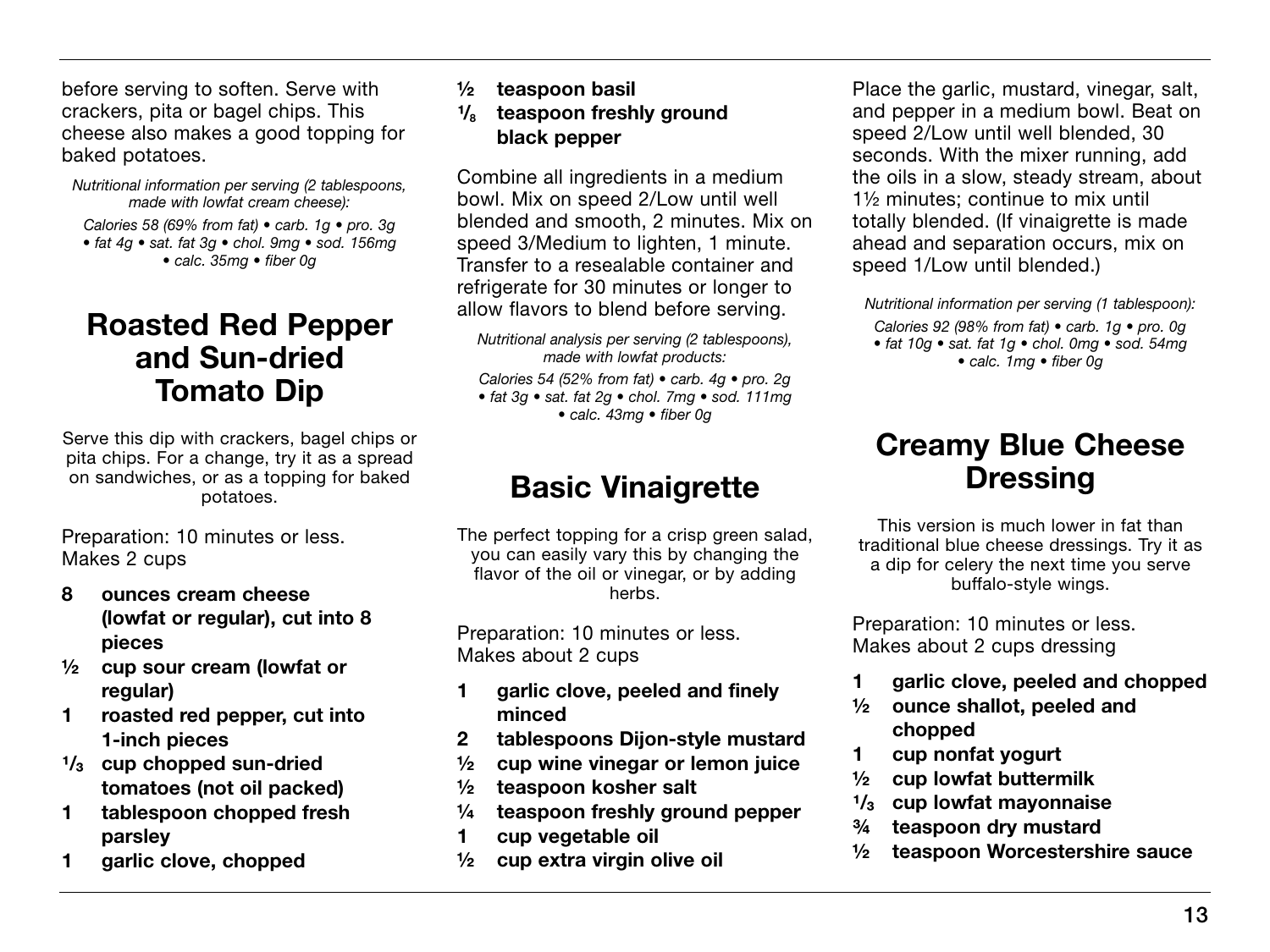before serving to soften. Serve with crackers, pita or bagel chips. This cheese also makes a good topping for baked potatoes.

*Nutritional information per serving (2 tablespoons, made with lowfat cream cheese): Calories 58 (69% from fat) • carb. 1g • pro. 3g • fat 4g • sat. fat 3g • chol. 9mg • sod. 156mg • calc. 35mg • fiber 0g*

### Roasted Red Pepper and Sun-dried Tomato Dip

Serve this dip with crackers, bagel chips or pita chips. For a change, try it as a spread on sandwiches, or as a topping for baked potatoes.

Preparation: 10 minutes or less. Makes 2 cups

- 8 ounces cream cheese (lowfat or regular), cut into 8 pieces
- ½ cup sour cream (lowfat or regular)
- 1 roasted red pepper, cut into 1-inch pieces
- $1/3$  cup chopped sun-dried tomatoes (not oil packed)
- 1 tablespoon chopped fresh parsley
- 1 garlic clove, chopped
- ½ teaspoon basil
- $\frac{1}{8}$  teaspoon freshly ground black pepper

Combine all ingredients in a medium bowl. Mix on speed 2/Low until well blended and smooth, 2 minutes. Mix on speed 3/Medium to lighten, 1 minute. Transfer to a resealable container and refrigerate for 30 minutes or longer to allow flavors to blend before serving.

*Calories 54 (52% from fat) • carb. 4g • pro. 2g • fat 3g • sat. fat 2g • chol. 7mg • sod. 111mg • calc. 43mg • fiber 0g*

### Basic Vinaigrette

The perfect topping for a crisp green salad. you can easily vary this by changing the flavor of the oil or vinegar, or by adding herbs.

Preparation: 10 minutes or less. Makes about 2 cups

- 1 garlic clove, peeled and finely minced
- 2 tablespoons Dijon-style mustard
- ½ cup wine vinegar or lemon juice
- ½ teaspoon kosher salt
- ¼ teaspoon freshly ground pepper
- 1 cup vegetable oil
- ½ cup extra virgin olive oil

Place the garlic, mustard, vinegar, salt, and pepper in a medium bowl. Beat on speed 2/Low until well blended, 30 seconds. With the mixer running, add the oils in a slow, steady stream, about 1½ minutes; continue to mix until totally blended. (If vinaigrette is made ahead and separation occurs, mix on speed 1/Low until blended.)

*Nutritional information per serving (1 tablespoon): Calories 92 (98% from fat) • carb. 1g • pro. 0g • fat 10g • sat. fat 1g • chol. 0mg • sod. 54mg • calc. 1mg • fiber 0g*

### Creamy Blue Cheese **Dressing**

This version is much lower in fat than traditional blue cheese dressings. Try it as a dip for celery the next time you serve buffalo-style wings.

Preparation: 10 minutes or less. Makes about 2 cups dressing

- 1 garlic clove, peeled and chopped
- ½ ounce shallot, peeled and chopped
- 1 cup nonfat yogurt
- ½ cup lowfat buttermilk
- $\frac{1}{3}$  cup lowfat mayonnaise<br> $\frac{3}{4}$  teaspoon drv mustard
- teaspoon dry mustard
- ½ teaspoon Worcestershire sauce

*Nutritional analysis per serving (2 tablespoons), made with lowfat products:*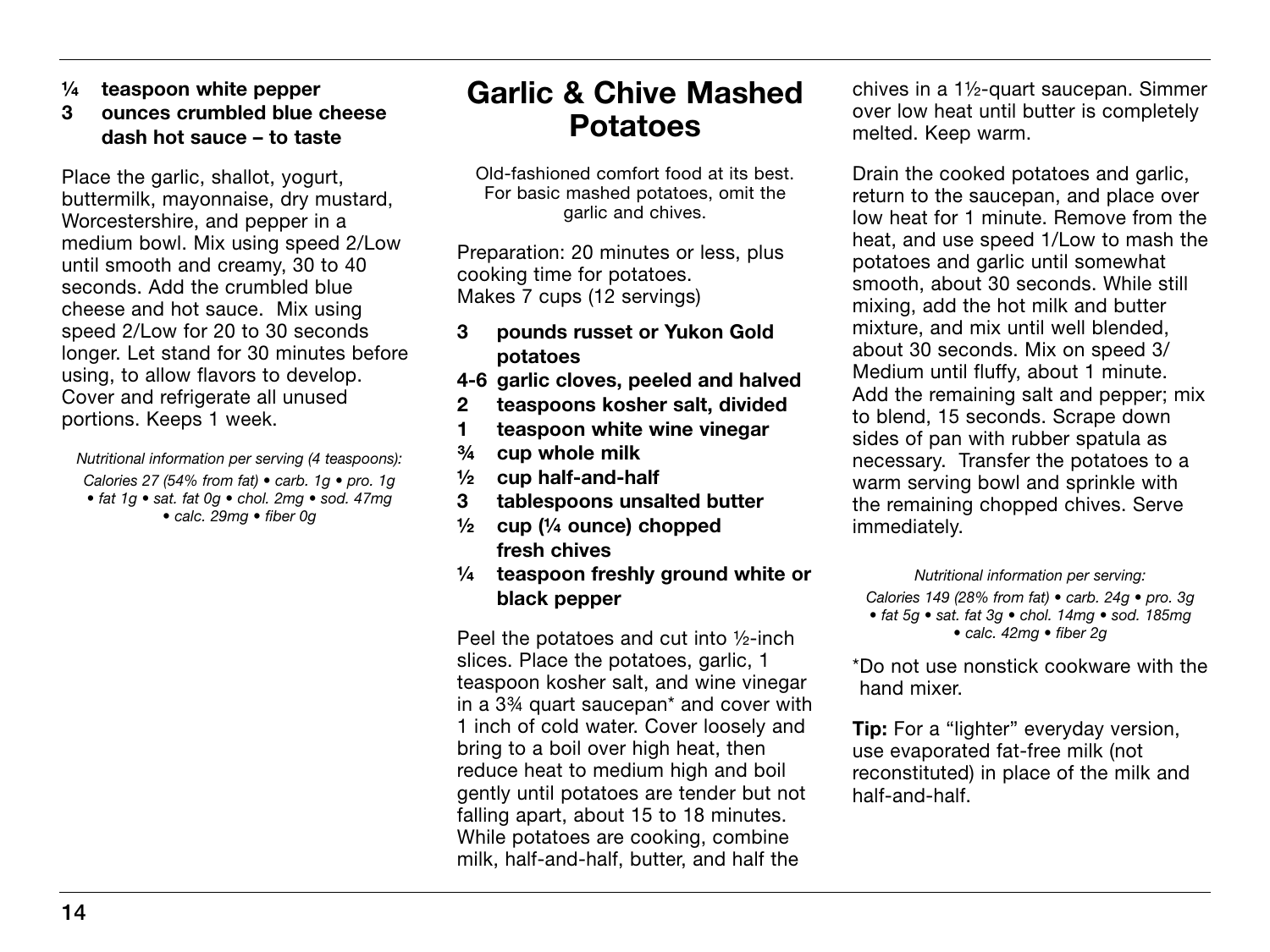- ¼ teaspoon white pepper
- 3 ounces crumbled blue cheese dash hot sauce – to taste

Place the garlic, shallot, yogurt, buttermilk, mayonnaise, dry mustard, Worcestershire, and pepper in a medium bowl. Mix using speed 2/Low until smooth and creamy, 30 to 40 seconds. Add the crumbled blue cheese and hot sauce. Mix using speed 2/Low for 20 to 30 seconds longer. Let stand for 30 minutes before using, to allow flavors to develop. Cover and refrigerate all unused portions. Keeps 1 week.

*Nutritional information per serving (4 teaspoons): Calories 27 (54% from fat) • carb. 1g • pro. 1g • fat 1g • sat. fat 0g • chol. 2mg • sod. 47mg • calc. 29mg • fiber 0g*

### Garlic & Chive Mashed Potatoes

Old-fashioned comfort food at its best. For basic mashed potatoes, omit the garlic and chives.

Preparation: 20 minutes or less, plus cooking time for potatoes. Makes 7 cups (12 servings)

- 3 pounds russet or Yukon Gold potatoes
- 4-6 garlic cloves, peeled and halved
- 2 teaspoons kosher salt, divided
- 1 teaspoon white wine vinegar
- ¾ cup whole milk
- ½ cup half-and-half
- 3 tablespoons unsalted butter
- $\frac{1}{2}$  cup ( $\frac{1}{4}$  ounce) chopped fresh chives
- ¼ teaspoon freshly ground white or black pepper

Peel the potatoes and cut into ½-inch slices. Place the potatoes, garlic, 1 teaspoon kosher salt, and wine vinegar in a 3¾ quart saucepan\* and cover with 1 inch of cold water. Cover loosely and bring to a boil over high heat, then reduce heat to medium high and boil gently until potatoes are tender but not falling apart, about 15 to 18 minutes. While potatoes are cooking, combine milk, half-and-half, butter, and half the

chives in a 1½-quart saucepan. Simmer over low heat until butter is completely melted. Keep warm.

Drain the cooked potatoes and garlic, return to the saucepan, and place over low heat for 1 minute. Remove from the heat, and use speed 1/Low to mash the potatoes and garlic until somewhat smooth, about 30 seconds. While still mixing, add the hot milk and butter mixture, and mix until well blended, about 30 seconds. Mix on speed 3/ Medium until fluffy, about 1 minute. Add the remaining salt and pepper; mix to blend, 15 seconds. Scrape down sides of pan with rubber spatula as necessary. Transfer the potatoes to a warm serving bowl and sprinkle with the remaining chopped chives. Serve immediately.

*Nutritional information per serving:*

*Calories 149 (28% from fat) • carb. 24g • pro. 3g • fat 5g • sat. fat 3g • chol. 14mg • sod. 185mg • calc. 42mg • fiber 2g*

\*Do not use nonstick cookware with the hand mixer.

**Tip:** For a "lighter" everyday version, use evaporated fat-free milk (not reconstituted) in place of the milk and half-and-half.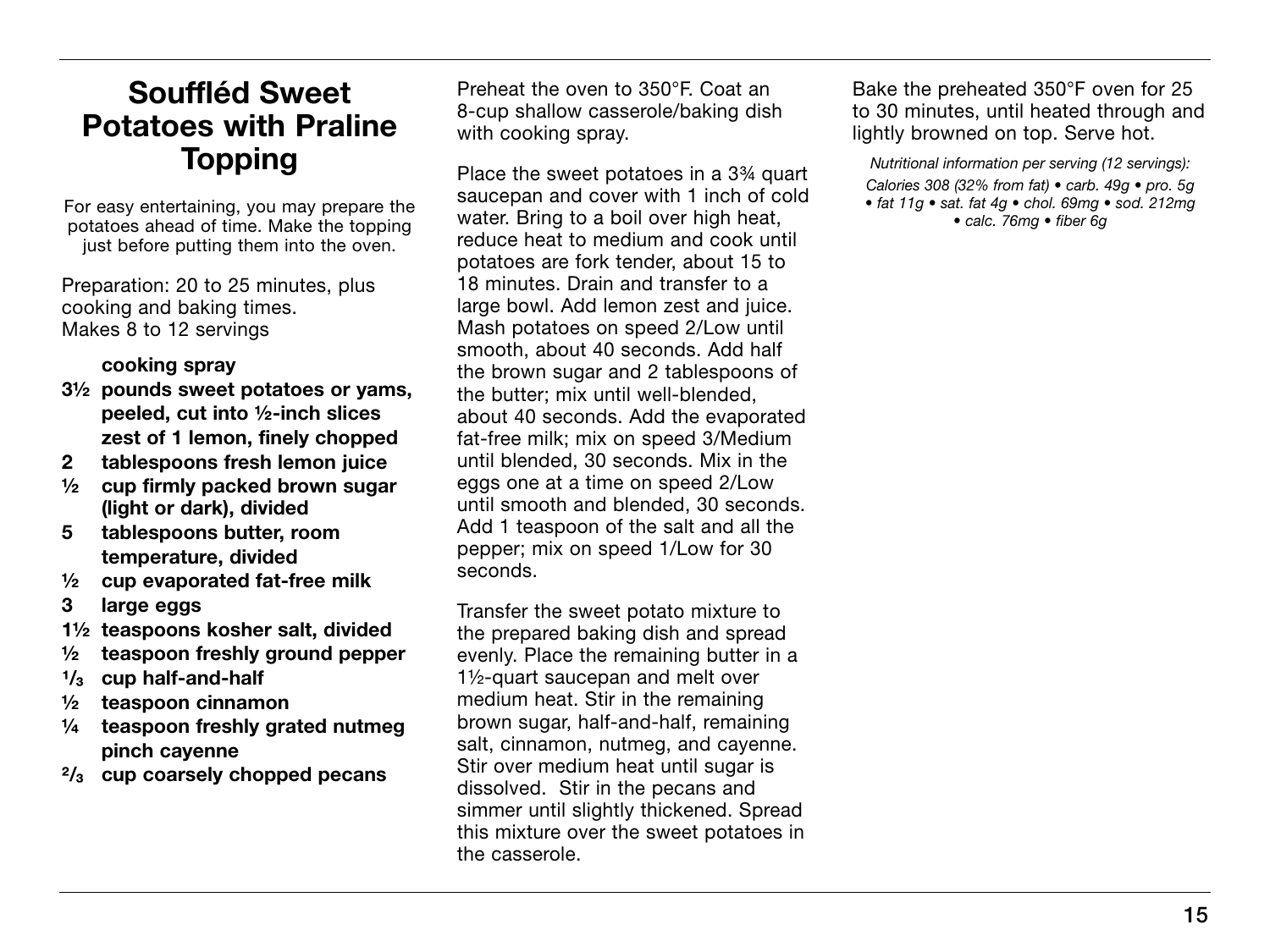### Souffléd Sweet Potatoes with Praline Topping

For easy entertaining, you may prepare the potatoes ahead of time. Make the topping just before putting them into the oven.

Preparation: 20 to 25 minutes, plus cooking and baking times. Makes 8 to 12 servings

#### cooking spray

- 3½ pounds sweet potatoes or yams, peeled, cut into ½-inch slices zest of 1 lemon, finely chopped
- 2 tablespoons fresh lemon juice
- ½ cup firmly packed brown sugar (light or dark), divided
- 5 tablespoons butter, room temperature, divided
- ½ cup evaporated fat-free milk
- 3 large eggs
- 1½ teaspoons kosher salt, divided
- ½ teaspoon freshly ground pepper
- $\frac{1}{3}$  cup half-and-half<br> $\frac{1}{2}$  teaspoon cinname
- teaspoon cinnamon
- ¼ teaspoon freshly grated nutmeg pinch cayenne
- $\frac{2}{3}$  cup coarsely chopped pecans

Preheat the oven to 350°F. Coat an 8-cup shallow casserole/baking dish with cooking spray.

Place the sweet potatoes in a 3¾ quart saucepan and cover with 1 inch of cold water. Bring to a boil over high heat. reduce heat to medium and cook until potatoes are fork tender, about 15 to 18 minutes. Drain and transfer to a large bowl. Add lemon zest and juice. Mash potatoes on speed 2/Low until smooth, about 40 seconds. Add half the brown sugar and 2 tablespoons of the butter; mix until well-blended, about 40 seconds. Add the evaporated fat-free milk; mix on speed 3/Medium until blended, 30 seconds. Mix in the eggs one at a time on speed 2/Low until smooth and blended, 30 seconds. Add 1 teaspoon of the salt and all the pepper; mix on speed 1/Low for 30 seconds.

Transfer the sweet potato mixture to the prepared baking dish and spread evenly. Place the remaining butter in a 1½-quart saucepan and melt over medium heat. Stir in the remaining brown sugar, half-and-half, remaining salt, cinnamon, nutmeg, and cayenne. Stir over medium heat until sugar is dissolved. Stir in the pecans and simmer until slightly thickened. Spread this mixture over the sweet potatoes in the casserole.

Bake the preheated 350°F oven for 25 to 30 minutes, until heated through and lightly browned on top. Serve hot.

*Nutritional information per serving (12 servings): Calories 308 (32% from fat) • carb. 49g • pro. 5g • fat 11g • sat. fat 4g • chol. 69mg • sod. 212mg • calc. 76mg • fiber 6g*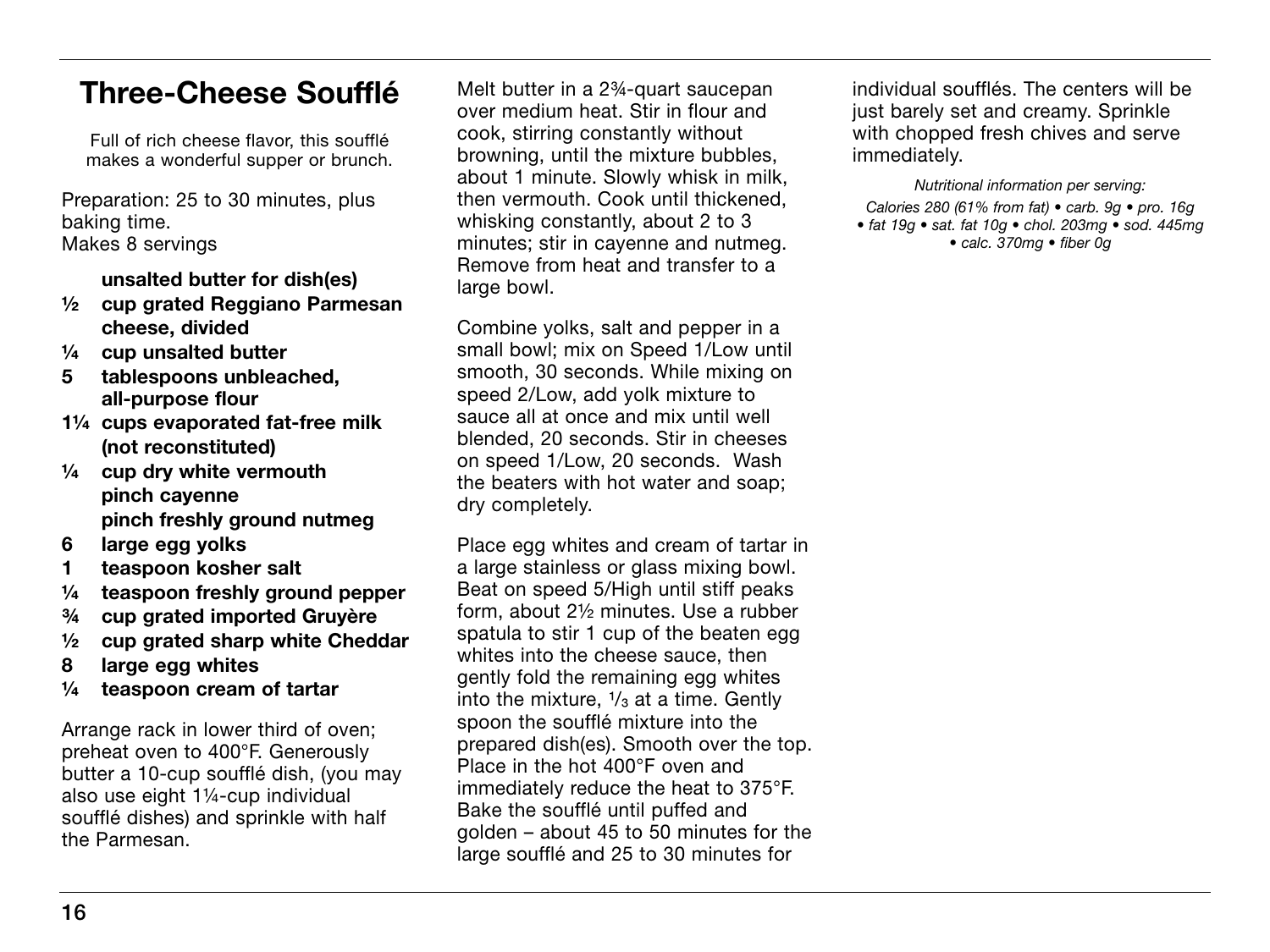### Three-Cheese Soufflé

Full of rich cheese flavor, this soufflé makes a wonderful supper or brunch.

Preparation: 25 to 30 minutes, plus baking time. Makes 8 servings

unsalted butter for dish(es)

- ½ cup grated Reggiano Parmesan cheese, divided
- ¼ cup unsalted butter
- 5 tablespoons unbleached, all-purpose flour
- 1¼ cups evaporated fat-free milk (not reconstituted)
- $\frac{1}{4}$  cup drv white vermouth pinch cayenne pinch freshly ground nutmeg
- 6 large egg yolks
- 1 teaspoon kosher salt
- ¼ teaspoon freshly ground pepper
- ¾ cup grated imported Gruyère
- ½ cup grated sharp white Cheddar
- 8 large egg whites
- ¼ teaspoon cream of tartar

Arrange rack in lower third of oven; preheat oven to 400°F. Generously butter a 10-cup soufflé dish, (you may also use eight 1¼-cup individual soufflé dishes) and sprinkle with half the Parmesan.

Melt butter in a 2¾-quart saucepan over medium heat. Stir in flour and cook, stirring constantly without browning, until the mixture bubbles, about 1 minute. Slowly whisk in milk, then vermouth. Cook until thickened, whisking constantly, about 2 to 3 minutes; stir in cayenne and nutmeg. Remove from heat and transfer to a large bowl.

Combine yolks, salt and pepper in a small bowl; mix on Speed 1/Low until smooth, 30 seconds. While mixing on speed 2/Low, add yolk mixture to sauce all at once and mix until well blended, 20 seconds. Stir in cheeses on speed 1/Low, 20 seconds. Wash the beaters with hot water and soap; dry completely.

Place egg whites and cream of tartar in a large stainless or glass mixing bowl. Beat on speed 5/High until stiff peaks form, about 2½ minutes. Use a rubber spatula to stir 1 cup of the beaten egg whites into the cheese sauce, then gently fold the remaining egg whites into the mixture,  $\frac{1}{3}$  at a time. Gently spoon the soufflé mixture into the prepared dish(es). Smooth over the top. Place in the hot 400°F oven and immediately reduce the heat to 375°F. Bake the soufflé until puffed and golden – about 45 to 50 minutes for the large soufflé and 25 to 30 minutes for

individual soufflés. The centers will be just barely set and creamy. Sprinkle with chopped fresh chives and serve immediately.

*Nutritional information per serving:*

*Calories 280 (61% from fat) • carb. 9g • pro. 16g • fat 19g • sat. fat 10g • chol. 203mg • sod. 445mg • calc. 370mg • fiber 0g*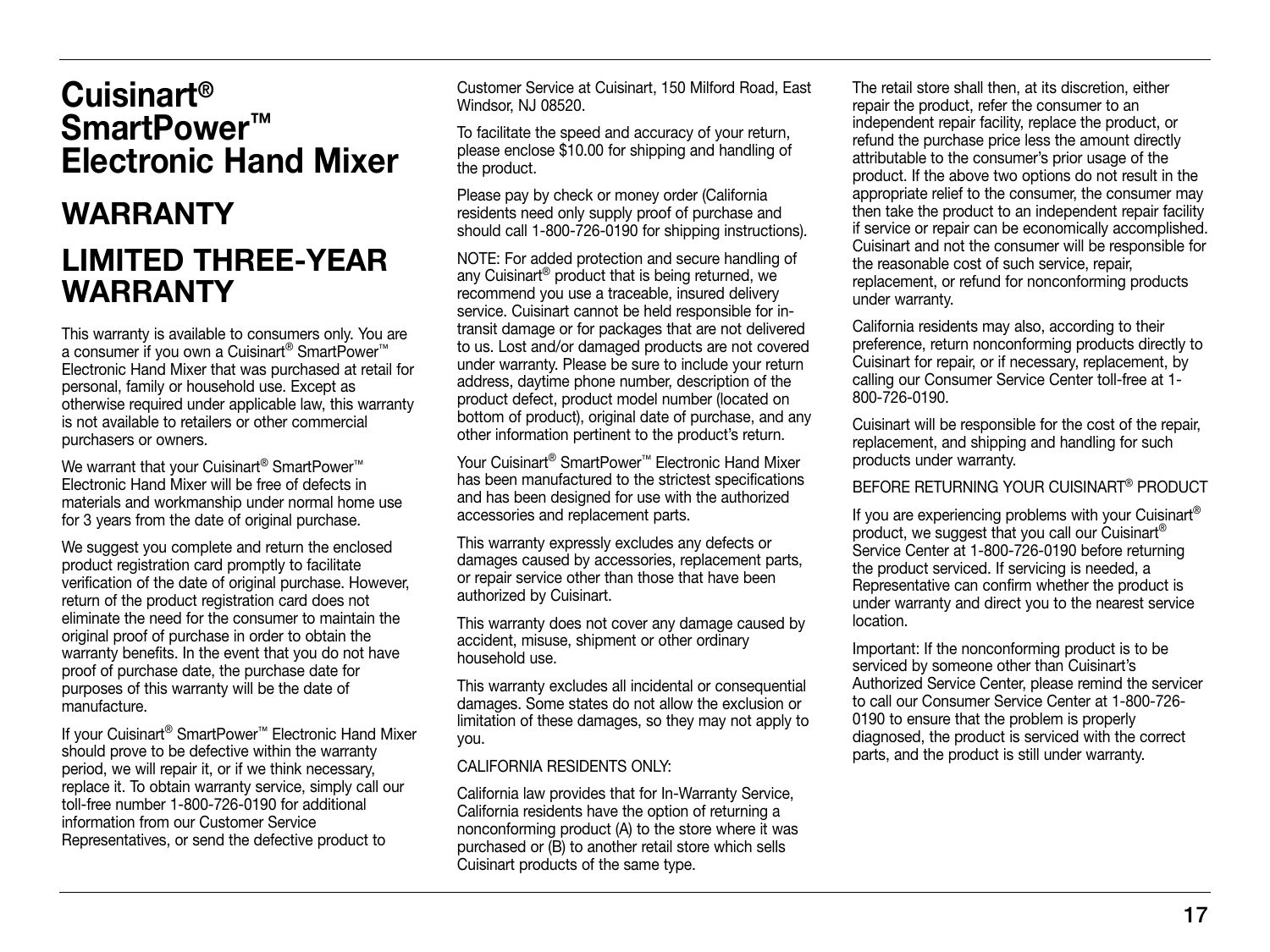### Cuisinart® SmartPower™ Electronic Hand Mixer

# **WARRANTY** Limited Three-Year **WARRANTY**

This warranty is available to consumers only. You are a consumer if you own a Cuisinart® SmartPower™ Electronic Hand Mixer that was purchased at retail for personal, family or household use. Except as otherwise required under applicable law, this warranty is not available to retailers or other commercial purchasers or owners.

We warrant that your Cuisinart<sup>®</sup> SmartPower<sup>™</sup> Electronic Hand Mixer will be free of defects in materials and workmanship under normal home use for 3 years from the date of original purchase.

We suggest you complete and return the enclosed product registration card promptly to facilitate verification of the date of original purchase. However, return of the product registration card does not eliminate the need for the consumer to maintain the original proof of purchase in order to obtain the warranty benefits. In the event that you do not have proof of purchase date, the purchase date for purposes of this warranty will be the date of manufacture.

If your Cuisinart® SmartPower™ Electronic Hand Mixer should prove to be defective within the warranty period, we will repair it, or if we think necessary, replace it. To obtain warranty service, simply call our toll-free number 1-800-726-0190 for additional information from our Customer Service Representatives, or send the defective product to

Customer Service at Cuisinart, 150 Milford Road, East Windsor, NJ 08520.

To facilitate the speed and accuracy of your return, please enclose \$10.00 for shipping and handling of the product.

Please pay by check or money order (California residents need only supply proof of purchase and should call 1-800-726-0190 for shipping instructions).

NOTE: For added protection and secure handling of any Cuisinart® product that is being returned, we recommend you use a traceable, insured delivery service. Cuisinart cannot be held responsible for intransit damage or for packages that are not delivered to us. Lost and/or damaged products are not covered under warranty. Please be sure to include your return address, daytime phone number, description of the product defect, product model number (located on bottom of product), original date of purchase, and any other information pertinent to the product's return.

Your Cuisinart® SmartPower™ Electronic Hand Mixer has been manufactured to the strictest specifications and has been designed for use with the authorized accessories and replacement parts.

This warranty expressly excludes any defects or damages caused by accessories, replacement parts, or repair service other than those that have been authorized by Cuisinart.

This warranty does not cover any damage caused by accident, misuse, shipment or other ordinary household use.

This warranty excludes all incidental or consequential damages. Some states do not allow the exclusion or limitation of these damages, so they may not apply to you.

#### CALIFORNIA RESIDENTS ONLY:

California law provides that for In-Warranty Service, California residents have the option of returning a nonconforming product (A) to the store where it was purchased or (B) to another retail store which sells Cuisinart products of the same type.

The retail store shall then, at its discretion, either repair the product, refer the consumer to an independent repair facility, replace the product, or refund the purchase price less the amount directly attributable to the consumer's prior usage of the product. If the above two options do not result in the appropriate relief to the consumer, the consumer may then take the product to an independent repair facility if service or repair can be economically accomplished. Cuisinart and not the consumer will be responsible for the reasonable cost of such service, repair, replacement, or refund for nonconforming products under warranty.

California residents may also, according to their preference, return nonconforming products directly to Cuisinart for repair, or if necessary, replacement, by calling our Consumer Service Center toll-free at 1- 800-726-0190.

Cuisinart will be responsible for the cost of the repair, replacement, and shipping and handling for such products under warranty.

Before returning your cuisinart® product

If you are experiencing problems with your Cuisinart<sup>®</sup> product, we suggest that you call our Cuisinart<sup>®</sup> Service Center at 1-800-726-0190 before returning the product serviced. If servicing is needed, a Representative can confirm whether the product is under warranty and direct you to the nearest service location.

Important: If the nonconforming product is to be serviced by someone other than Cuisinart's Authorized Service Center, please remind the servicer to call our Consumer Service Center at 1-800-726- 0190 to ensure that the problem is properly diagnosed, the product is serviced with the correct parts, and the product is still under warranty.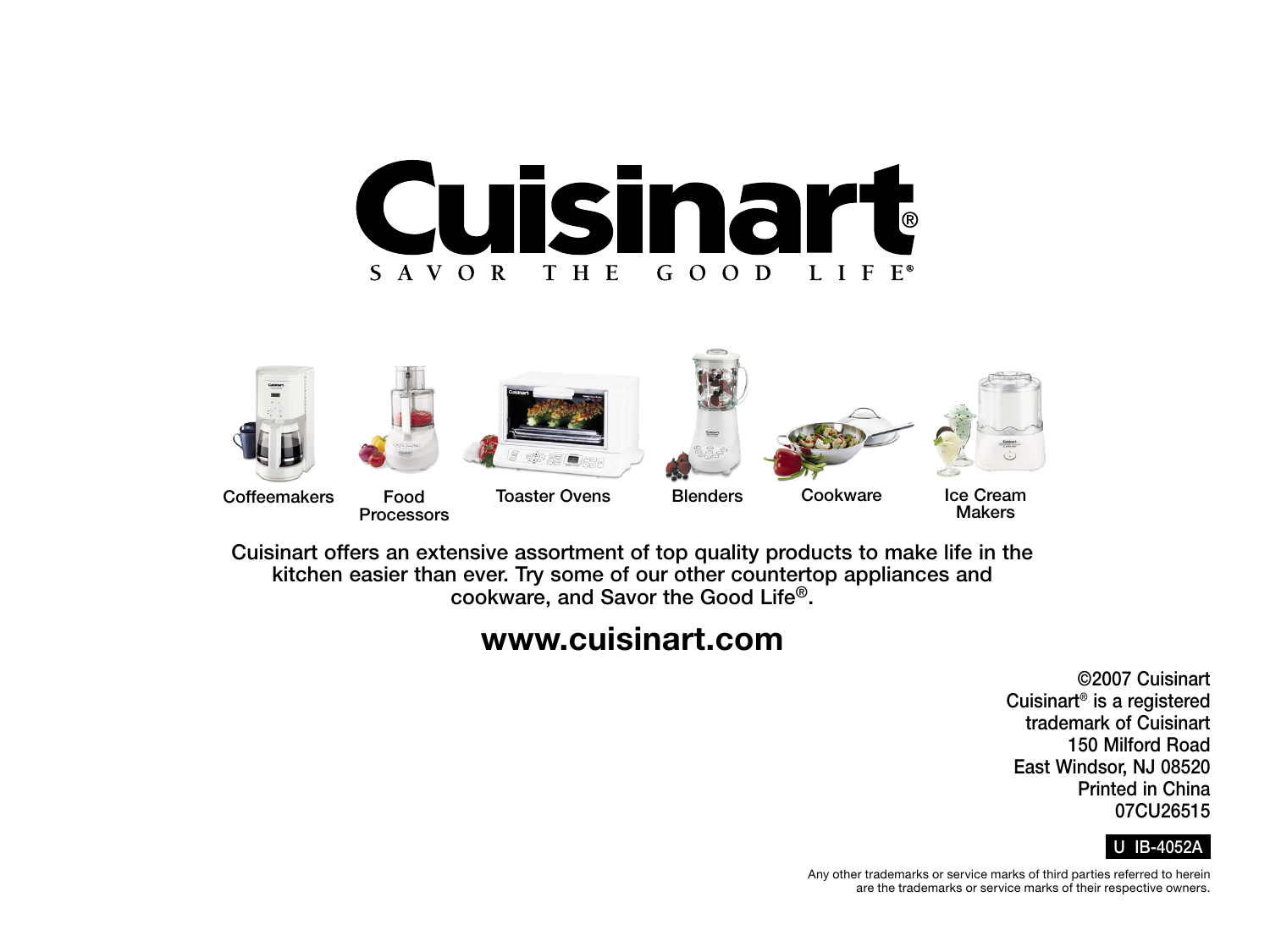



Cuisinart offers an extensive assortment of top quality products to make life in the kitchen easier than ever. Try some of our other countertop appliances and cookware, and Savor the Good Life®.

### www.cuisinart.com

©2007 Cuisinart Cuisinart® is a registered trademark of Cuisinart 150 Milford Road East Windsor, NJ 08520 Printed in China 07CU26515

#### U IB-4052A

Any other trademarks or service marks of third parties referred to herein are the trademarks or service marks of their respective owners.